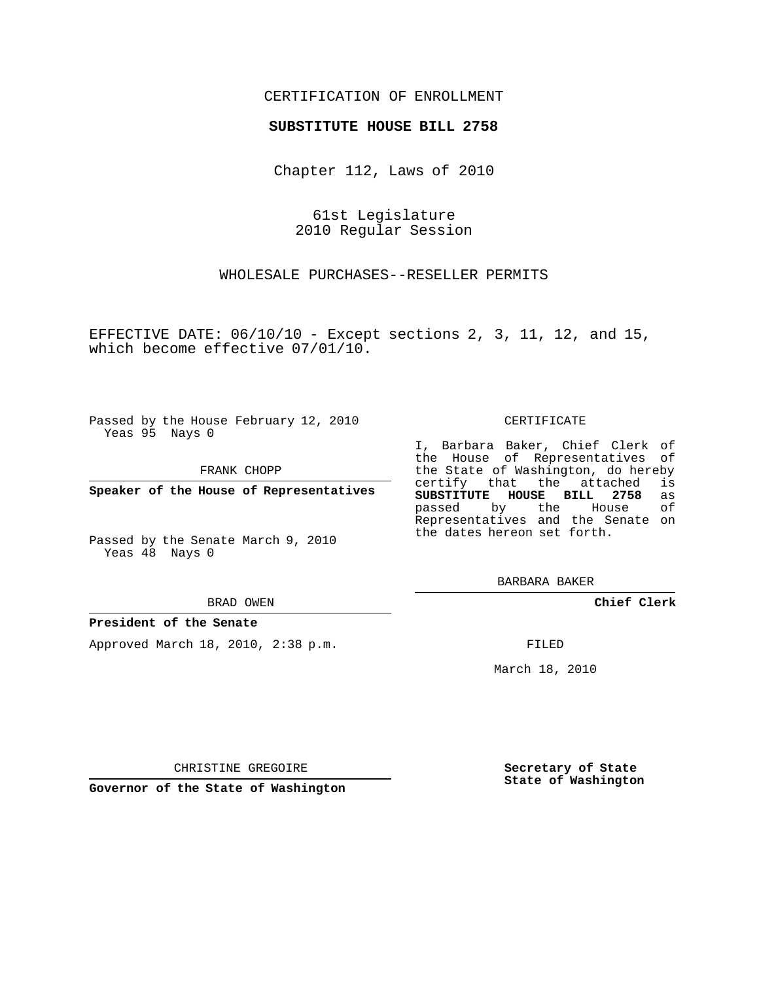## CERTIFICATION OF ENROLLMENT

## **SUBSTITUTE HOUSE BILL 2758**

Chapter 112, Laws of 2010

61st Legislature 2010 Regular Session

WHOLESALE PURCHASES--RESELLER PERMITS

EFFECTIVE DATE:  $06/10/10$  - Except sections 2, 3, 11, 12, and 15, which become effective 07/01/10.

Passed by the House February 12, 2010 Yeas 95 Nays 0

FRANK CHOPP

**Speaker of the House of Representatives**

Passed by the Senate March 9, 2010 Yeas 48 Nays 0

BRAD OWEN

## **President of the Senate**

Approved March 18, 2010, 2:38 p.m.

CERTIFICATE

I, Barbara Baker, Chief Clerk of the House of Representatives of the State of Washington, do hereby<br>certify that the attached is certify that the attached **SUBSTITUTE HOUSE BILL 2758** as passed by the House of Representatives and the Senate on the dates hereon set forth.

BARBARA BAKER

**Chief Clerk**

FILED

March 18, 2010

**Secretary of State State of Washington**

CHRISTINE GREGOIRE

**Governor of the State of Washington**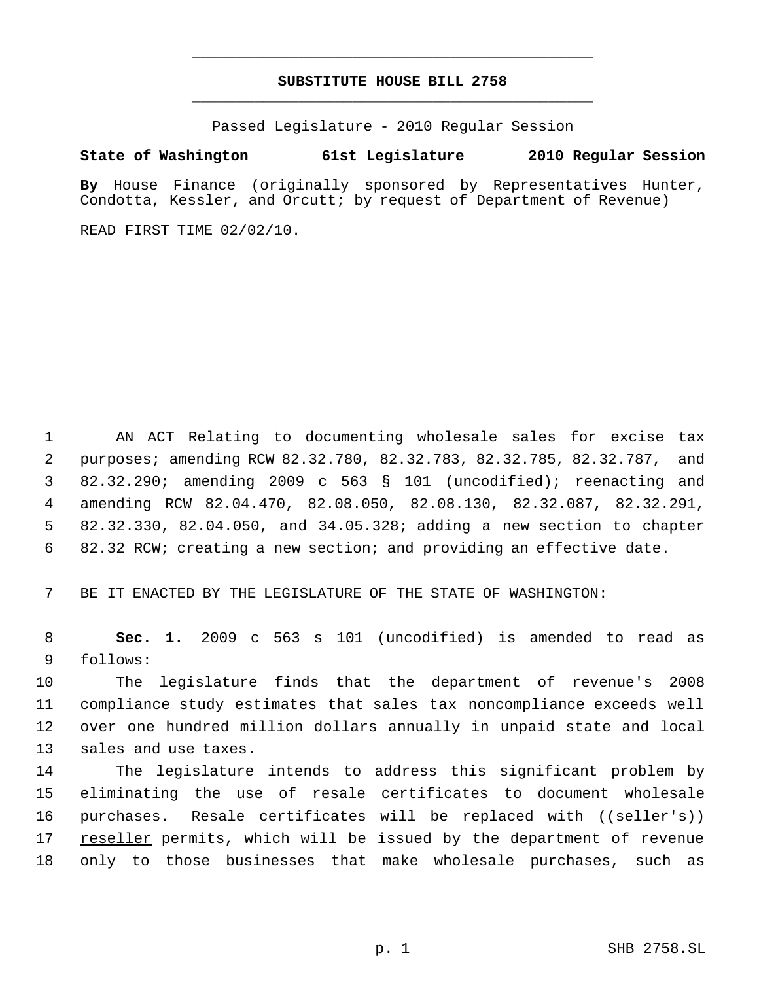# **SUBSTITUTE HOUSE BILL 2758** \_\_\_\_\_\_\_\_\_\_\_\_\_\_\_\_\_\_\_\_\_\_\_\_\_\_\_\_\_\_\_\_\_\_\_\_\_\_\_\_\_\_\_\_\_

\_\_\_\_\_\_\_\_\_\_\_\_\_\_\_\_\_\_\_\_\_\_\_\_\_\_\_\_\_\_\_\_\_\_\_\_\_\_\_\_\_\_\_\_\_

Passed Legislature - 2010 Regular Session

# **State of Washington 61st Legislature 2010 Regular Session**

**By** House Finance (originally sponsored by Representatives Hunter, Condotta, Kessler, and Orcutt; by request of Department of Revenue)

READ FIRST TIME 02/02/10.

 AN ACT Relating to documenting wholesale sales for excise tax purposes; amending RCW 82.32.780, 82.32.783, 82.32.785, 82.32.787, and 82.32.290; amending 2009 c 563 § 101 (uncodified); reenacting and amending RCW 82.04.470, 82.08.050, 82.08.130, 82.32.087, 82.32.291, 82.32.330, 82.04.050, and 34.05.328; adding a new section to chapter 82.32 RCW; creating a new section; and providing an effective date.

BE IT ENACTED BY THE LEGISLATURE OF THE STATE OF WASHINGTON:

 **Sec. 1.** 2009 c 563 s 101 (uncodified) is amended to read as follows:

 The legislature finds that the department of revenue's 2008 compliance study estimates that sales tax noncompliance exceeds well over one hundred million dollars annually in unpaid state and local sales and use taxes.

 The legislature intends to address this significant problem by eliminating the use of resale certificates to document wholesale 16 purchases. Resale certificates will be replaced with ((seller's)) reseller permits, which will be issued by the department of revenue only to those businesses that make wholesale purchases, such as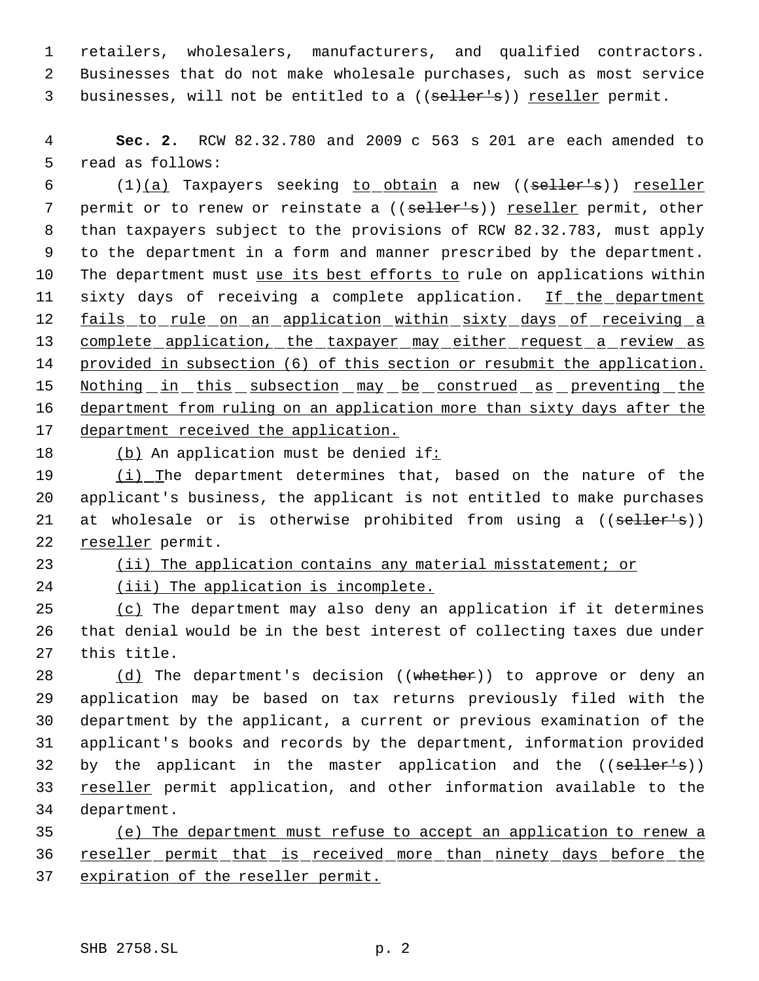1 retailers, wholesalers, manufacturers, and qualified contractors. 2 Businesses that do not make wholesale purchases, such as most service 3 businesses, will not be entitled to a ((seller's)) reseller permit.

 4 **Sec. 2.** RCW 82.32.780 and 2009 c 563 s 201 are each amended to 5 read as follows:

6  $(1)(a)$  Taxpayers seeking to obtain a new  $((\text{selfer--s}))$  reseller 7 permit or to renew or reinstate a ((seller's)) reseller permit, other 8 than taxpayers subject to the provisions of RCW 82.32.783, must apply 9 to the department in a form and manner prescribed by the department. 10 The department must use its best efforts to rule on applications within 11 sixty days of receiving a complete application. If the department 12 fails to rule on an application within sixty days of receiving a 13 complete application, the taxpayer may either request a review as 14 provided in subsection (6) of this section or resubmit the application. 15 Nothing in this subsection may be construed as preventing the 16 department from ruling on an application more than sixty days after the 17 department received the application.

18 (b) An application must be denied if:

19 (i) The department determines that, based on the nature of the 20 applicant's business, the applicant is not entitled to make purchases 21 at wholesale or is otherwise prohibited from using a ((seller's)) 22 reseller permit.

23 (ii) The application contains any material misstatement; or

24 (iii) The application is incomplete.

25 (c) The department may also deny an application if it determines 26 that denial would be in the best interest of collecting taxes due under 27 this title.

28 (d) The department's decision ((whether)) to approve or deny an 29 application may be based on tax returns previously filed with the 30 department by the applicant, a current or previous examination of the 31 applicant's books and records by the department, information provided 32 by the applicant in the master application and the ((seller's)) 33 reseller permit application, and other information available to the 34 department.

35 (e) The department must refuse to accept an application to renew a 36 reseller permit that is received more than ninety days before the 37 expiration of the reseller permit.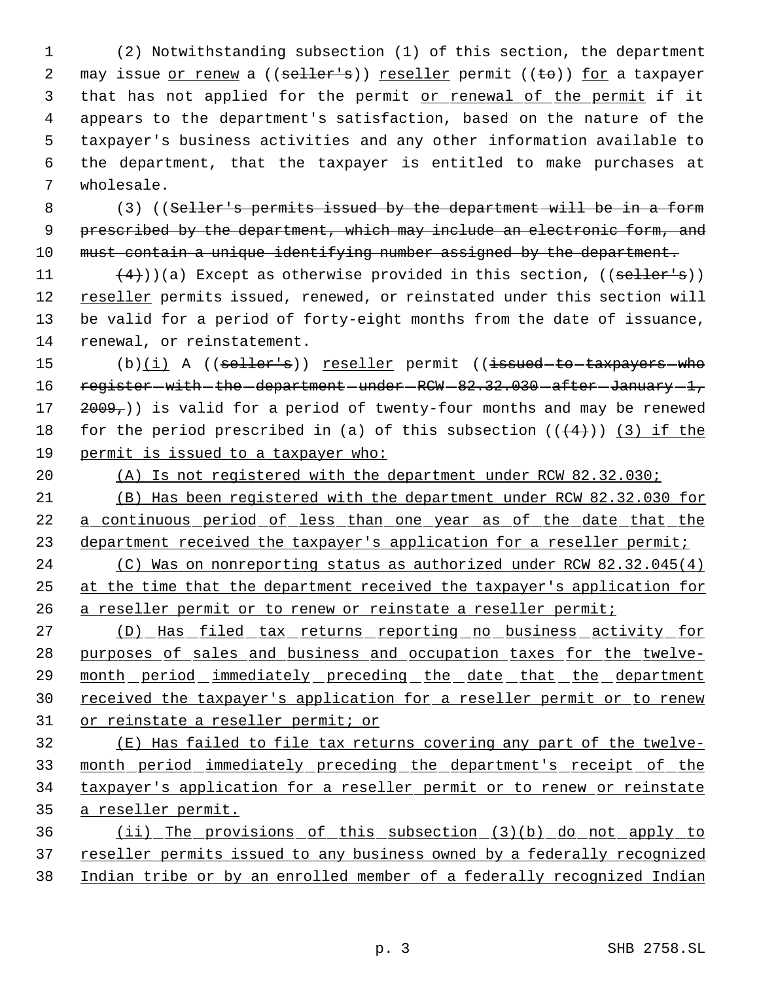(2) Notwithstanding subsection (1) of this section, the department 2 may issue or renew a ((seller's)) reseller permit ((to)) for a taxpayer that has not applied for the permit or renewal of the permit if it appears to the department's satisfaction, based on the nature of the taxpayer's business activities and any other information available to the department, that the taxpayer is entitled to make purchases at wholesale.

8 (3) ((Seller's permits issued by the department will be in a form 9 prescribed by the department, which may include an electronic form, and 10 must contain a unique identifying number assigned by the department.

 $(4)$ ))(a) Except as otherwise provided in this section, ((seller's)) 12 reseller permits issued, renewed, or reinstated under this section will be valid for a period of forty-eight months from the date of issuance, renewal, or reinstatement.

15 (b)(i) A ((seller's)) reseller permit ((issued to taxpayers who 16 register – with – the – department – under – RCW – 82.32.030 – after – January – 1, 17  $2009<sub>7</sub>$ )) is valid for a period of twenty-four months and may be renewed 18 for the period prescribed in (a) of this subsection  $((4+))$  (3) if the 19 permit is issued to a taxpayer who:

20 (A) Is not registered with the department under RCW 82.32.030;

21 (B) Has been registered with the department under RCW 82.32.030 for 22 a continuous period of less than one year as of the date that the 23 department received the taxpayer's application for a reseller permit;

24 (C) Was on nonreporting status as authorized under RCW 82.32.045(4) 25 at the time that the department received the taxpayer's application for 26 a reseller permit or to renew or reinstate a reseller permit;

27 (D) Has filed tax returns reporting no business activity for 28 purposes of sales and business and occupation taxes for the twelve-29 month period immediately preceding the date that the department 30 received the taxpayer's application for a reseller permit or to renew 31 or reinstate a reseller permit; or

 (E) Has failed to file tax returns covering any part of the twelve- month period immediately preceding the department's receipt of the taxpayer's application for a reseller permit or to renew or reinstate a reseller permit.

36 (ii) The provisions of this subsection (3)(b) do not apply to 37 reseller permits issued to any business owned by a federally recognized 38 Indian tribe or by an enrolled member of a federally recognized Indian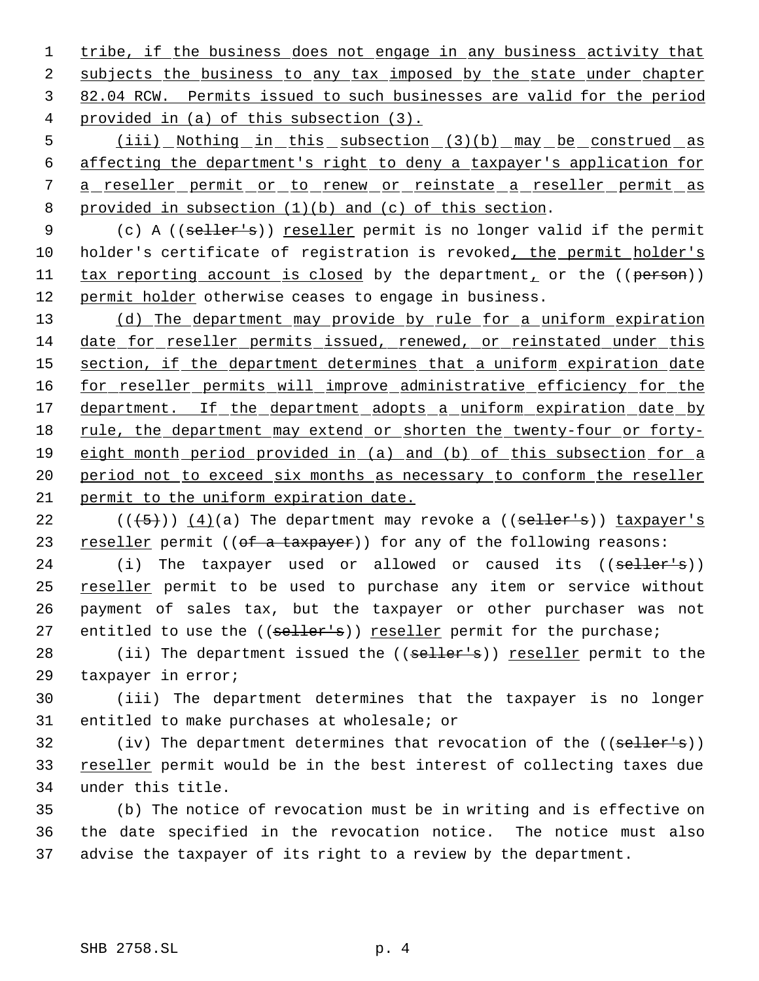1 tribe, if the business does not engage in any business activity that 2 subjects the business to any tax imposed by the state under chapter 3 82.04 RCW. Permits issued to such businesses are valid for the period 4 provided in (a) of this subsection (3).

 (iii) Nothing in this subsection (3)(b) may be construed as affecting the department's right to deny a taxpayer's application for 7 a reseller permit or to renew or reinstate a reseller permit as provided in subsection (1)(b) and (c) of this section.

9 (c) A ((seller's)) reseller permit is no longer valid if the permit 10 holder's certificate of registration is revoked, the permit holder's 11 tax reporting account is closed by the department, or the ((person)) 12 permit holder otherwise ceases to engage in business.

13 (d) The department may provide by rule for a uniform expiration 14 date for reseller permits issued, renewed, or reinstated under this 15 section, if the department determines that a uniform expiration date 16 for reseller permits will improve administrative efficiency for the 17 department. If the department adopts a uniform expiration date by 18 rule, the department may extend or shorten the twenty-four or forty-19 eight month period provided in (a) and (b) of this subsection for a 20 period not to exceed six months as necessary to conform the reseller 21 permit to the uniform expiration date.

22  $((\langle 5 \rangle)(4)(a)$  The department may revoke a  $((\text{self-}1)$  taxpayer's 23 reseller permit ((of a taxpayer)) for any of the following reasons:

24 (i) The taxpayer used or allowed or caused its ((seller's)) 25 reseller permit to be used to purchase any item or service without 26 payment of sales tax, but the taxpayer or other purchaser was not 27 entitled to use the ((seller's)) reseller permit for the purchase;

28 (ii) The department issued the ((seller's)) reseller permit to the 29 taxpayer in error;

30 (iii) The department determines that the taxpayer is no longer 31 entitled to make purchases at wholesale; or

32 (iv) The department determines that revocation of the ((seller's)) 33 reseller permit would be in the best interest of collecting taxes due 34 under this title.

35 (b) The notice of revocation must be in writing and is effective on 36 the date specified in the revocation notice. The notice must also 37 advise the taxpayer of its right to a review by the department.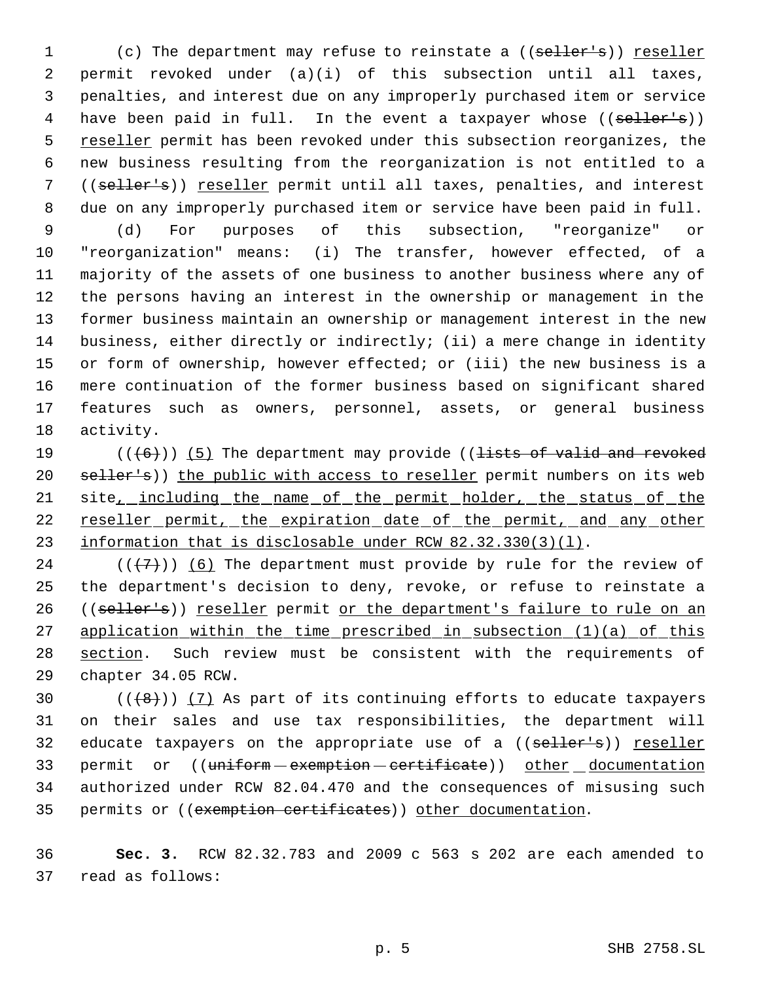1 (c) The department may refuse to reinstate a ((seller's)) reseller permit revoked under (a)(i) of this subsection until all taxes, penalties, and interest due on any improperly purchased item or service 4 have been paid in full. In the event a taxpayer whose ((seller's)) 5 reseller permit has been revoked under this subsection reorganizes, the new business resulting from the reorganization is not entitled to a ((seller's)) reseller permit until all taxes, penalties, and interest due on any improperly purchased item or service have been paid in full. (d) For purposes of this subsection, "reorganize" or "reorganization" means: (i) The transfer, however effected, of a majority of the assets of one business to another business where any of the persons having an interest in the ownership or management in the former business maintain an ownership or management interest in the new business, either directly or indirectly; (ii) a mere change in identity or form of ownership, however effected; or (iii) the new business is a mere continuation of the former business based on significant shared features such as owners, personnel, assets, or general business activity.

19  $((+6))$  (5) The department may provide ((lists of valid and revoked 20 seller's)) the public with access to reseller permit numbers on its web 21 site<sub>\_\_</sub>including\_the\_name\_of\_the\_permit\_holder,\_the\_status\_of\_the 22 reseller permit, the expiration date of the permit, and any other 23 information that is disclosable under RCW 82.32.330(3)(1).

24 ( $(\langle 7\rangle)$ ) (6) The department must provide by rule for the review of 25 the department's decision to deny, revoke, or refuse to reinstate a 26 ((seller's)) reseller permit or the department's failure to rule on an 27 application within the time prescribed in subsection (1)(a) of this 28 section. Such review must be consistent with the requirements of 29 chapter 34.05 RCW.

30  $((+8))$   $(7)$  As part of its continuing efforts to educate taxpayers 31 on their sales and use tax responsibilities, the department will 32 educate taxpayers on the appropriate use of a ((seller's)) reseller 33 permit or ((uniform - exemption - certificate)) other documentation 34 authorized under RCW 82.04.470 and the consequences of misusing such 35 permits or ((exemption certificates)) other documentation.

36 **Sec. 3.** RCW 82.32.783 and 2009 c 563 s 202 are each amended to 37 read as follows: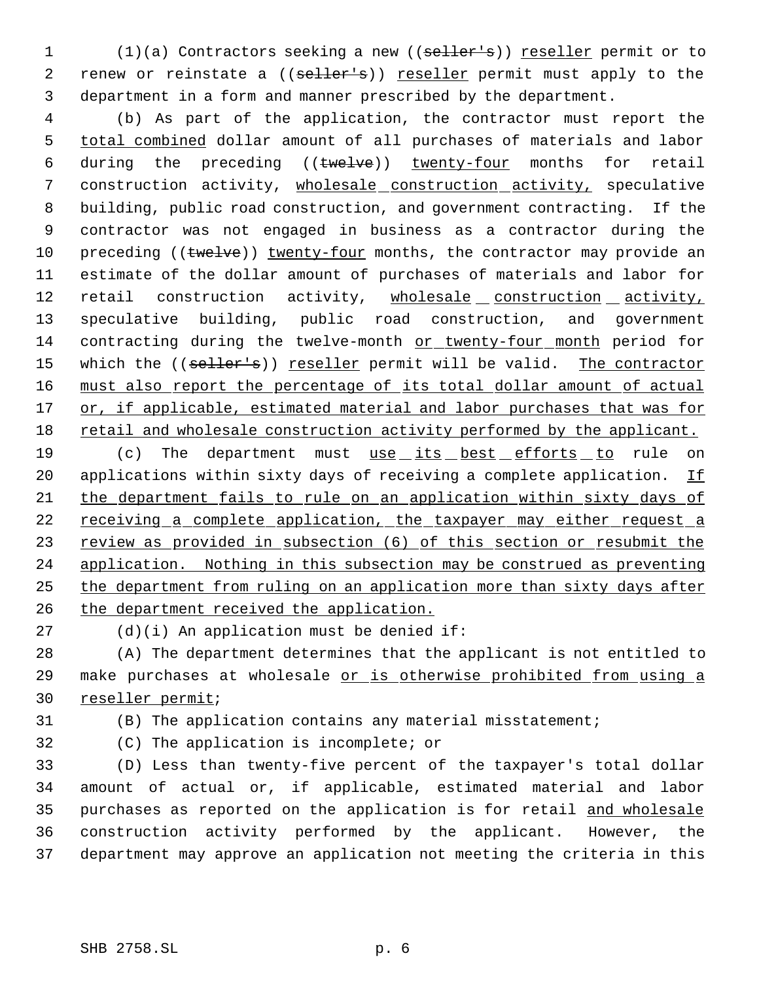1 (1)(a) Contractors seeking a new ((seller's)) reseller permit or to 2 renew or reinstate a ((seller's)) reseller permit must apply to the department in a form and manner prescribed by the department.

 (b) As part of the application, the contractor must report the total combined dollar amount of all purchases of materials and labor 6 during the preceding ((twelve)) twenty-four months for retail 7 construction activity, wholesale construction activity, speculative building, public road construction, and government contracting. If the contractor was not engaged in business as a contractor during the 10 preceding ((twelve)) twenty-four months, the contractor may provide an estimate of the dollar amount of purchases of materials and labor for 12 retail construction activity, wholesale construction activity, speculative building, public road construction, and government contracting during the twelve-month or twenty-four month period for 15 which the ((seller's)) reseller permit will be valid. The contractor 16 must also report the percentage of its total dollar amount of actual 17 or, if applicable, estimated material and labor purchases that was for retail and wholesale construction activity performed by the applicant.

19 (c) The department must use its best efforts to rule on 20 applications within sixty days of receiving a complete application. If the department fails to rule on an application within sixty days of 22 receiving a complete application, the taxpayer may either request a 23 review as provided in subsection (6) of this section or resubmit the application. Nothing in this subsection may be construed as preventing the department from ruling on an application more than sixty days after the department received the application.

(d)(i) An application must be denied if:

 (A) The department determines that the applicant is not entitled to 29 make purchases at wholesale or is otherwise prohibited from using a reseller permit;

(B) The application contains any material misstatement;

(C) The application is incomplete; or

 (D) Less than twenty-five percent of the taxpayer's total dollar amount of actual or, if applicable, estimated material and labor purchases as reported on the application is for retail and wholesale construction activity performed by the applicant. However, the department may approve an application not meeting the criteria in this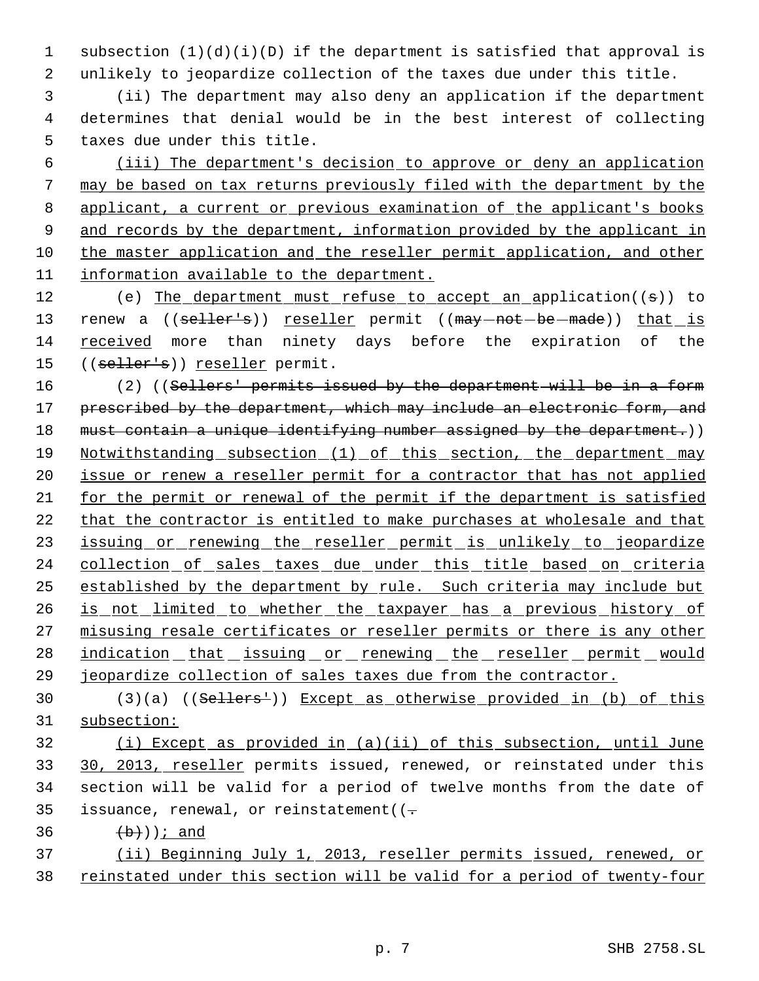1 subsection (1)(d)(i)(D) if the department is satisfied that approval is 2 unlikely to jeopardize collection of the taxes due under this title.

 3 (ii) The department may also deny an application if the department 4 determines that denial would be in the best interest of collecting 5 taxes due under this title.

 (iii) The department's decision to approve or deny an application may be based on tax returns previously filed with the department by the 8 applicant, a current or previous examination of the applicant's books 9 and records by the department, information provided by the applicant in the master application and the reseller permit application, and other information available to the department.

12 (e) The department must refuse to accept an application((s)) to 13 renew a ((seller's)) reseller permit ((may-not-be-made)) that is 14 received more than ninety days before the expiration of the 15 ((seller's)) reseller permit.

16 (2) ((Sellers' permits issued by the department will be in a form 17 prescribed by the department, which may include an electronic form, and 18 must contain a unique identifying number assigned by the department.)) 19 Notwithstanding subsection (1) of this section, the department may 20 issue or renew a reseller permit for a contractor that has not applied 21 for the permit or renewal of the permit if the department is satisfied 22 that the contractor is entitled to make purchases at wholesale and that 23 issuing or renewing the reseller permit is unlikely to jeopardize 24 collection of sales taxes due under this title based on criteria 25 established by the department by rule. Such criteria may include but 26 is not limited to whether the taxpayer has a previous history of 27 misusing resale certificates or reseller permits or there is any other 28 indication that issuing or renewing the reseller permit would 29 jeopardize collection of sales taxes due from the contractor.

30 (3)(a) ((Sellers')) Except as otherwise provided in (b) of this 31 subsection:

 (i) Except as provided in (a)(ii) of this subsection, until June 30, 2013, reseller permits issued, renewed, or reinstated under this section will be valid for a period of twelve months from the date of 35 issuance, renewal, or reinstatement( $(-$ 

36  $(b)$ ); and

37 (ii) Beginning July 1, 2013, reseller permits issued, renewed, or 38 reinstated under this section will be valid for a period of twenty-four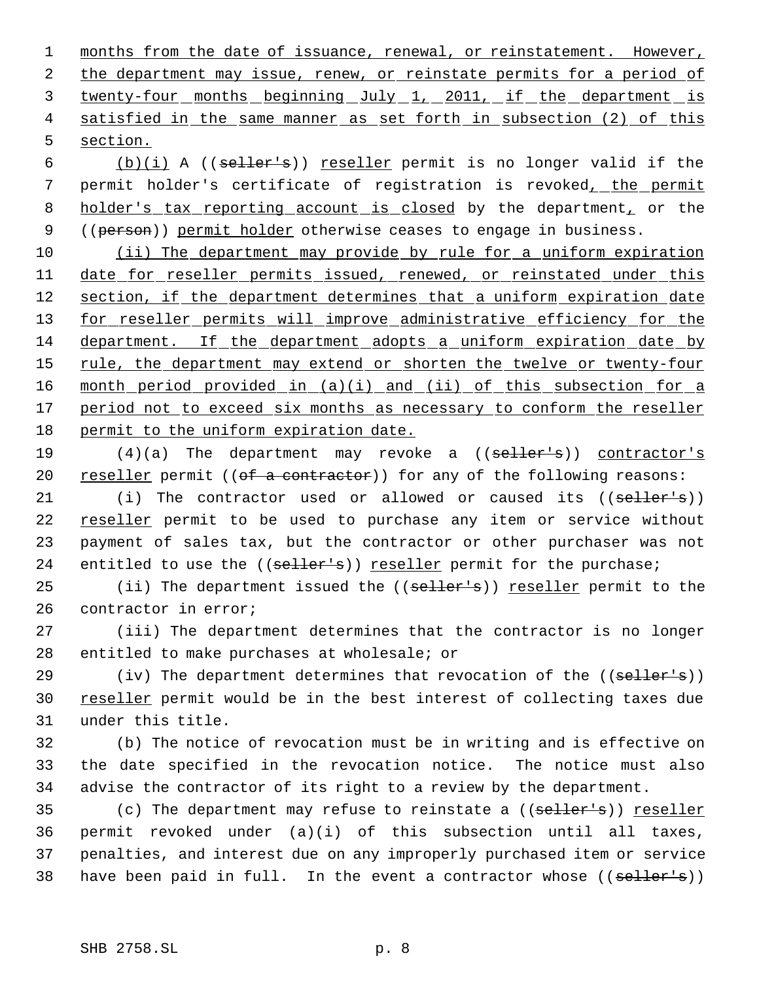1 months from the date of issuance, renewal, or reinstatement. However, 2 the department may issue, renew, or reinstate permits for a period of 3 twenty-four months beginning July 1, 2011, if the department is 4 satisfied in the same manner as set forth in subsection (2) of this 5 section.

 6 (b)(i) A ((seller's)) reseller permit is no longer valid if the 7 permit holder's certificate of registration is revoked, the permit 8 holder's tax reporting account is closed by the department, or the 9 ((person)) permit holder otherwise ceases to engage in business.

10 (ii) The department may provide by rule for a uniform expiration 11 date for reseller permits issued, renewed, or reinstated under this 12 section, if the department determines that a uniform expiration date 13 for reseller permits will improve administrative efficiency for the 14 department. If the department adopts a uniform expiration date by 15 rule, the department may extend or shorten the twelve or twenty-four 16 month period provided in (a)(i) and (ii) of this subsection for a 17 period not to exceed six months as necessary to conform the reseller 18 permit to the uniform expiration date.

- 19 (4)(a) The department may revoke a ((seller's)) contractor's 20 reseller permit (( $\sigma$ f a contractor)) for any of the following reasons:
- 21 (i) The contractor used or allowed or caused its ((seller's)) 22 reseller permit to be used to purchase any item or service without 23 payment of sales tax, but the contractor or other purchaser was not 24 entitled to use the ((seller's)) reseller permit for the purchase;

25 (ii) The department issued the ((seller's)) reseller permit to the 26 contractor in error;

27 (iii) The department determines that the contractor is no longer 28 entitled to make purchases at wholesale; or

29  $(iv)$  The department determines that revocation of the  $((\text{self-} \cdot \text{self-} \cdot s))$ 30 reseller permit would be in the best interest of collecting taxes due 31 under this title.

32 (b) The notice of revocation must be in writing and is effective on 33 the date specified in the revocation notice. The notice must also 34 advise the contractor of its right to a review by the department.

35 (c) The department may refuse to reinstate a ((seller's)) reseller 36 permit revoked under (a)(i) of this subsection until all taxes, 37 penalties, and interest due on any improperly purchased item or service 38 have been paid in full. In the event a contractor whose ((seller's))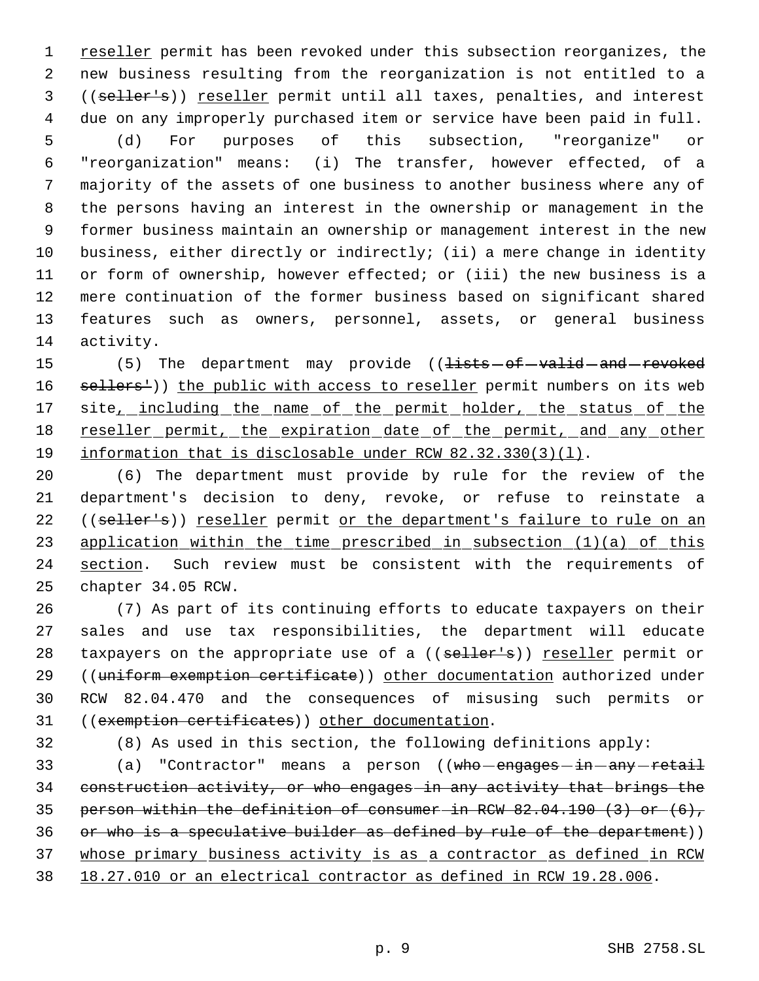1 reseller permit has been revoked under this subsection reorganizes, the new business resulting from the reorganization is not entitled to a ((seller's)) reseller permit until all taxes, penalties, and interest due on any improperly purchased item or service have been paid in full. (d) For purposes of this subsection, "reorganize" or "reorganization" means: (i) The transfer, however effected, of a majority of the assets of one business to another business where any of the persons having an interest in the ownership or management in the former business maintain an ownership or management interest in the new business, either directly or indirectly; (ii) a mere change in identity or form of ownership, however effected; or (iii) the new business is a mere continuation of the former business based on significant shared features such as owners, personnel, assets, or general business activity.

15 (5) The department may provide ((<del>lists of valid and revoked</del> 16 sellers<sup>1</sup>)) the public with access to reseller permit numbers on its web 17 site<sub>\_\_</sub>including\_the\_name\_of\_the\_permit\_holder,\_the\_status\_of\_the 18 reseller permit, the expiration date of the permit, and any other information that is disclosable under RCW 82.32.330(3)(l).

 (6) The department must provide by rule for the review of the department's decision to deny, revoke, or refuse to reinstate a 22 ((seller's)) reseller permit or the department's failure to rule on an 23 application within the time prescribed in subsection (1)(a) of this 24 section. Such review must be consistent with the requirements of chapter 34.05 RCW.

 (7) As part of its continuing efforts to educate taxpayers on their sales and use tax responsibilities, the department will educate 28 taxpayers on the appropriate use of a ((seller's)) reseller permit or 29 ((uniform exemption certificate)) other documentation authorized under RCW 82.04.470 and the consequences of misusing such permits or ((exemption certificates)) other documentation.

(8) As used in this section, the following definitions apply:

33 (a) "Contractor" means a person ((who engages - in - any - retail construction activity, or who engages in any activity that brings the person within the definition of consumer in RCW 82.04.190 (3) or (6), 36 or who is a speculative builder as defined by rule of the department)) whose primary business activity is as a contractor as defined in RCW 18.27.010 or an electrical contractor as defined in RCW 19.28.006.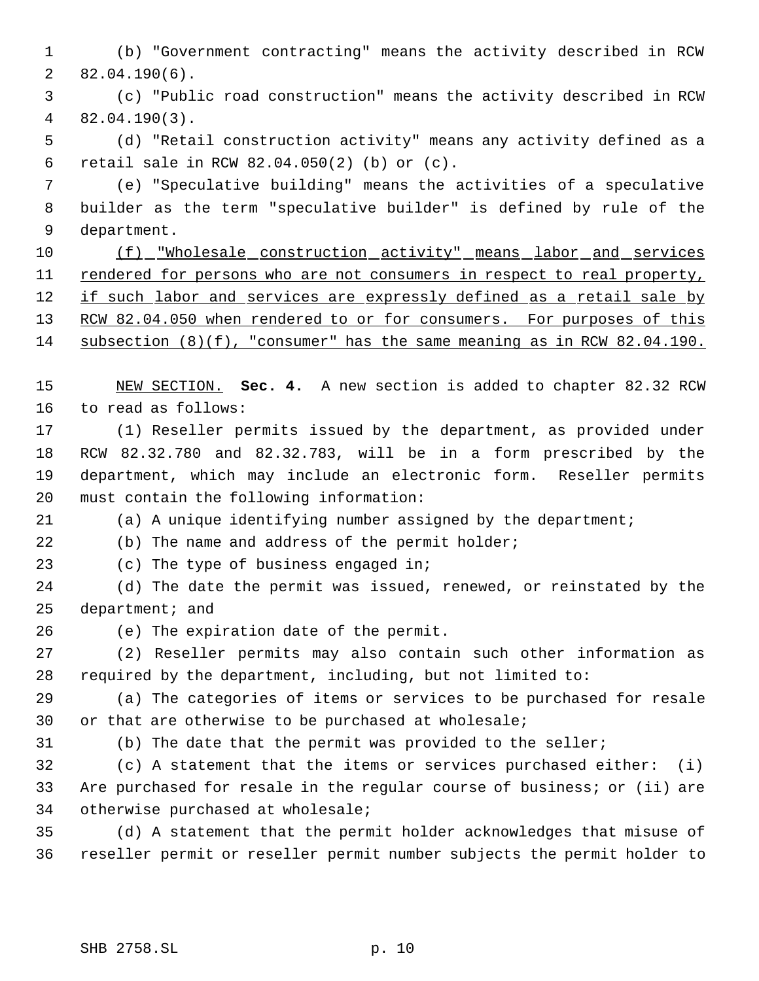(b) "Government contracting" means the activity described in RCW 82.04.190(6).

 (c) "Public road construction" means the activity described in RCW 82.04.190(3).

 (d) "Retail construction activity" means any activity defined as a retail sale in RCW 82.04.050(2) (b) or (c).

 (e) "Speculative building" means the activities of a speculative builder as the term "speculative builder" is defined by rule of the department.

 (f) "Wholesale construction activity" means labor and services 11 rendered for persons who are not consumers in respect to real property, 12 if such labor and services are expressly defined as a retail sale by 13 RCW 82.04.050 when rendered to or for consumers. For purposes of this subsection (8)(f), "consumer" has the same meaning as in RCW 82.04.190.

 NEW SECTION. **Sec. 4.** A new section is added to chapter 82.32 RCW to read as follows:

 (1) Reseller permits issued by the department, as provided under RCW 82.32.780 and 82.32.783, will be in a form prescribed by the department, which may include an electronic form. Reseller permits must contain the following information:

(a) A unique identifying number assigned by the department;

(b) The name and address of the permit holder;

(c) The type of business engaged in;

 (d) The date the permit was issued, renewed, or reinstated by the 25 department; and

(e) The expiration date of the permit.

 (2) Reseller permits may also contain such other information as required by the department, including, but not limited to:

 (a) The categories of items or services to be purchased for resale or that are otherwise to be purchased at wholesale;

(b) The date that the permit was provided to the seller;

 (c) A statement that the items or services purchased either: (i) Are purchased for resale in the regular course of business; or (ii) are otherwise purchased at wholesale;

 (d) A statement that the permit holder acknowledges that misuse of reseller permit or reseller permit number subjects the permit holder to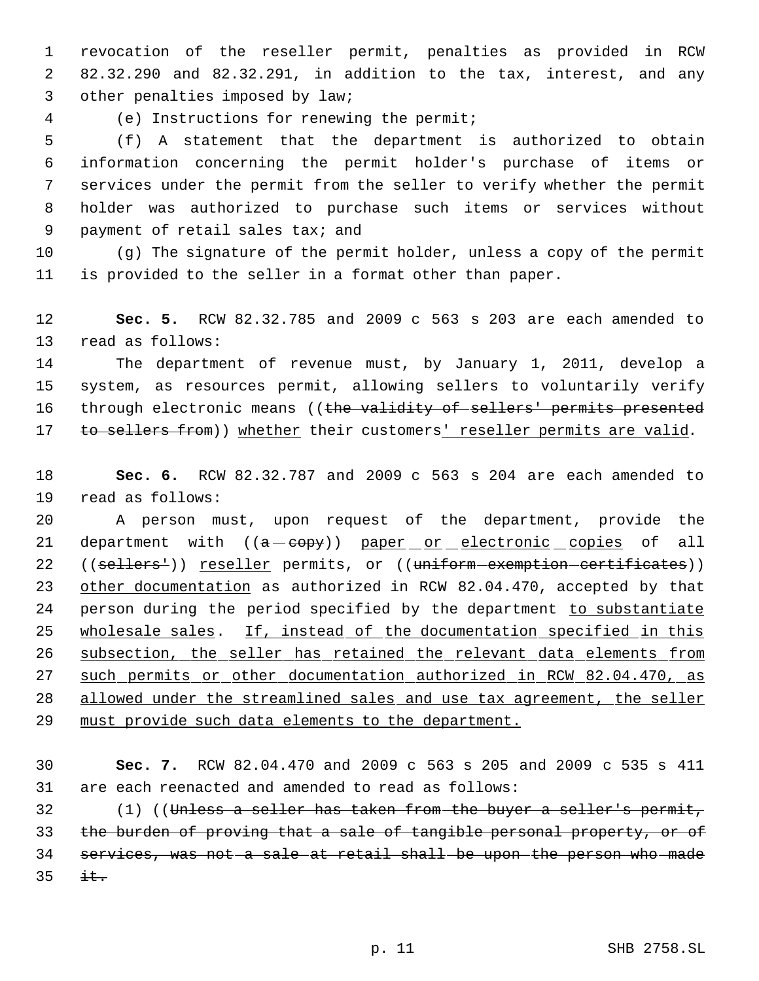revocation of the reseller permit, penalties as provided in RCW 82.32.290 and 82.32.291, in addition to the tax, interest, and any other penalties imposed by law;

(e) Instructions for renewing the permit;

 (f) A statement that the department is authorized to obtain information concerning the permit holder's purchase of items or services under the permit from the seller to verify whether the permit holder was authorized to purchase such items or services without payment of retail sales tax; and

 (g) The signature of the permit holder, unless a copy of the permit is provided to the seller in a format other than paper.

 **Sec. 5.** RCW 82.32.785 and 2009 c 563 s 203 are each amended to read as follows:

 The department of revenue must, by January 1, 2011, develop a system, as resources permit, allowing sellers to voluntarily verify 16 through electronic means ((the validity of sellers' permits presented 17 to sellers from)) whether their customers' reseller permits are valid.

 **Sec. 6.** RCW 82.32.787 and 2009 c 563 s 204 are each amended to read as follows:

 A person must, upon request of the department, provide the 21 department with ((a-eopy)) paper or electronic copies of all 22 ((sellers<sup>1</sup>)) <u>reseller</u> permits, or ((uniform-exemption-certificates)) other documentation as authorized in RCW 82.04.470, accepted by that 24 person during the period specified by the department to substantiate 25 wholesale sales. If, instead of the documentation specified in this subsection, the seller has retained the relevant data elements from such permits or other documentation authorized in RCW 82.04.470, as 28 allowed under the streamlined sales and use tax agreement, the seller must provide such data elements to the department.

 **Sec. 7.** RCW 82.04.470 and 2009 c 563 s 205 and 2009 c 535 s 411 are each reenacted and amended to read as follows:

 (1) ((Unless a seller has taken from the buyer a seller's permit, the burden of proving that a sale of tangible personal property, or of services, was not a sale at retail shall be upon the person who made  $\pm t$ .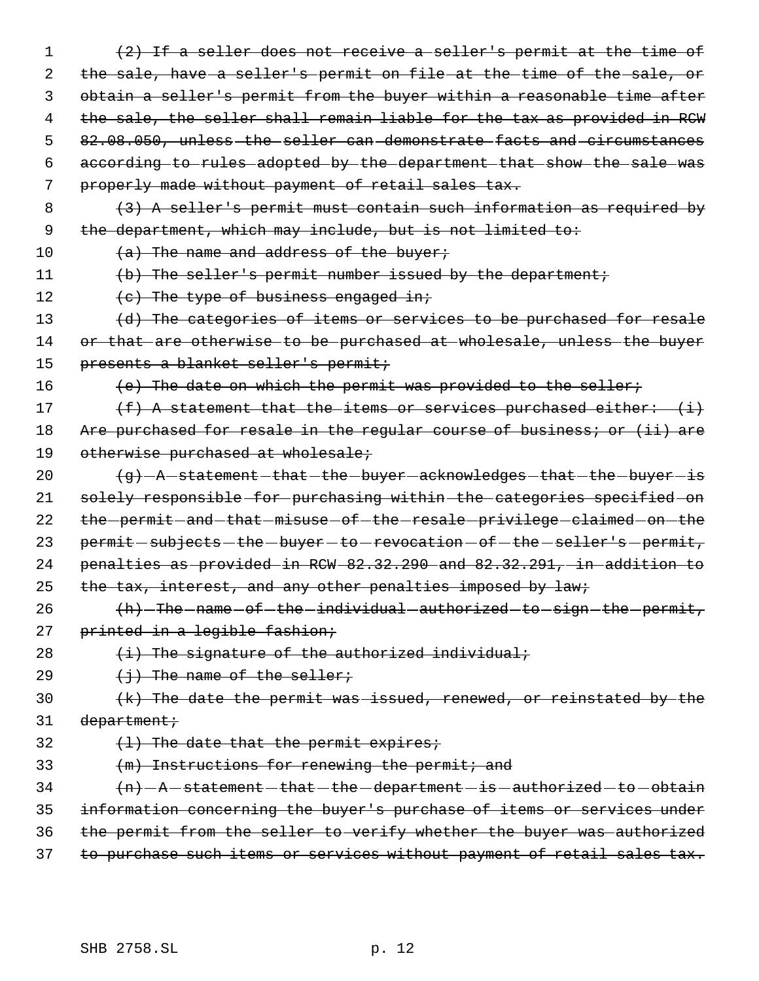1 (2) If a seller does not receive a seller's permit at the time of 2 the sale, have a seller's permit on file at the time of the sale, or 3 obtain a seller's permit from the buyer within a reasonable time after 4 the sale, the seller shall remain liable for the tax as provided in RCW 5 82.08.050, unless the seller can demonstrate facts and circumstances 6 according to rules adopted by the department that show the sale was 7 properly made without payment of retail sales tax. 8 (3) A seller's permit must contain such information as required by 9 the department, which may include, but is not limited to: 10  $(a)$  The name and address of the buyer; 11 (b) The seller's permit number issued by the department; 12 (c) The type of business engaged in; 13 (d) The categories of items or services to be purchased for resale 14 or that are otherwise to be purchased at wholesale, unless the buyer 15 presents a blanket seller's permit; 16 (e) The date on which the permit was provided to the seller; 17  $(f)$  A statement that the items or services purchased either:  $(i)$ 18 Are purchased for resale in the regular course of business; or (ii) are 19 otherwise purchased at wholesale; 20 (g) - A statement - that - the - buyer - acknowledges - that - the - buyer - is 21 solely responsible for purchasing within the categories specified on 22 the permit and that misuse of the resale privilege claimed on the 23 permit  $-subjects - the - buyer - to - revocation - of - the - seller's - permit,$ 24 penalties as provided in RCW 82.32.290 and 82.32.291, in addition to 25 the tax, interest, and any other penalties imposed by law; 26 (h) The name of the individual authorized to sign the permit, 27 printed in a legible fashion; 28  $(i)$  The signature of the authorized individual; 29  $\leftarrow$   $\leftarrow$   $\leftarrow$  The name of the seller; 30  $(k)$  The date the permit was issued, renewed, or reinstated by the  $31$  department;  $32$   $(1)$  The date that the permit expires; 33  $(m)$  Instructions for renewing the permit; and  $34$   $\left\{\nemph{n}-\text{A}-\text{statement}-\text{that}-\text{the}-\text{department}-\text{is}-\text{authorized}-\text{to}-\text{obtain}\nemph{t}\n\right\}$ 35 information concerning the buyer's purchase of items or services under 36 the permit from the seller to verify whether the buyer was authorized 37 to purchase such items or services without payment of retail sales tax.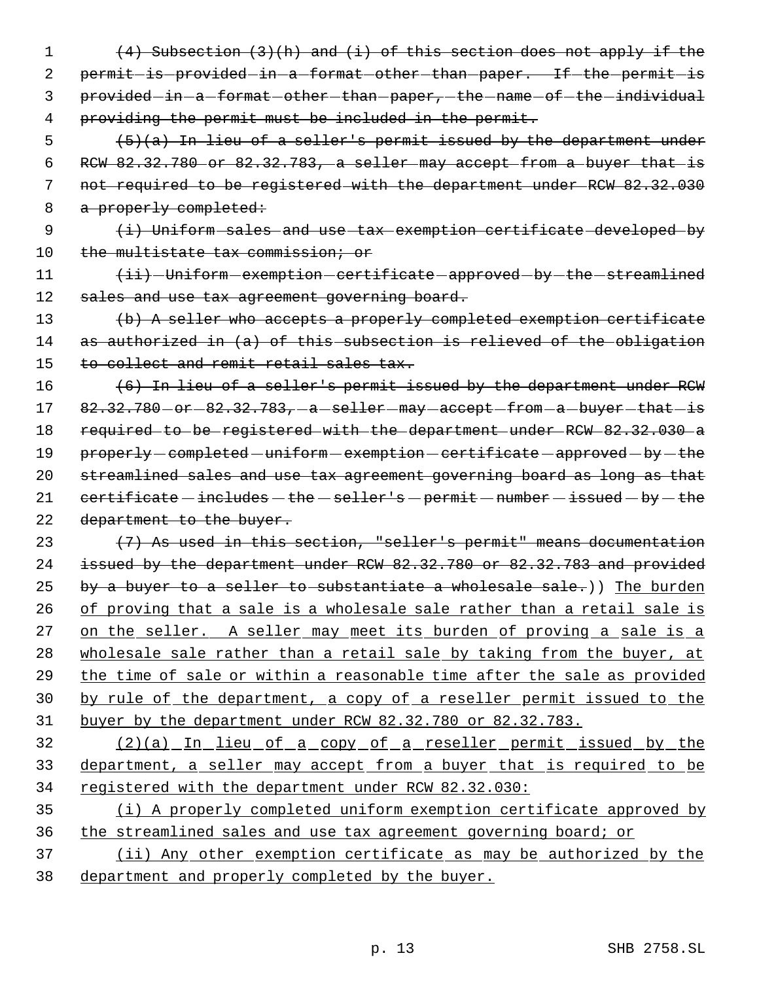1 (4) Subsection (3)(h) and (i) of this section does not apply if the 2 permit-is-provided-in-a-format-other-than-paper. If-the-permit-is 3 provided-in-a-format-other-than-paper,-the-name-of-the-individual 4 providing the permit must be included in the permit.

  $(5)(a)$  In lieu of a seller's permit issued by the department under RCW 82.32.780 or 82.32.783, a seller may accept from a buyer that is not required to be registered with the department under RCW 82.32.030 8 a properly completed:

9 (i) Uniform sales and use tax exemption certificate developed by 10 the multistate tax commission; or

11  $\leftarrow$   $\leftarrow$  Uniform exemption certificate approved by the streamlined 12 sales and use tax agreement governing board.

13 (b) A seller who accepts a properly completed exemption certificate 14 as authorized in (a) of this subsection is relieved of the obligation 15 to collect and remit retail sales tax.

16 (6) In lieu of a seller's permit issued by the department under RCW  $17$   $82.32.780$   $-$  or  $-82.32.783$ ,  $-a$   $-$  seller  $-may$   $-$  accept  $-$  from  $-a$   $-$  buyer  $-$  that  $-$  is 18 required to be registered with the department under RCW 82.32.030 a 19 properly - completed - uniform - exemption - certificate - approved - by - the 20 streamlined sales and use tax agreement governing board as long as that 21  $certificance - includes - the - seller's - permit - number - issued - by - the$ 22 department to the buyer.

 $(7)$  As used in this section, "seller's permit" means documentation issued by the department under RCW 82.32.780 or 82.32.783 and provided 25 by a buyer to a seller to substantiate a wholesale sale.)) The burden of proving that a sale is a wholesale sale rather than a retail sale is 27 on the seller. A seller may meet its burden of proving a sale is a 28 wholesale sale rather than a retail sale by taking from the buyer, at the time of sale or within a reasonable time after the sale as provided by rule of the department, a copy of a reseller permit issued to the buyer by the department under RCW 82.32.780 or 82.32.783.

32 (2)(a) In lieu of a copy of a reseller permit issued by the 33 department, a seller may accept from a buyer that is required to be 34 registered with the department under RCW 82.32.030:

35 (i) A properly completed uniform exemption certificate approved by 36 the streamlined sales and use tax agreement governing board; or

37 (ii) Any other exemption certificate as may be authorized by the 38 department and properly completed by the buyer.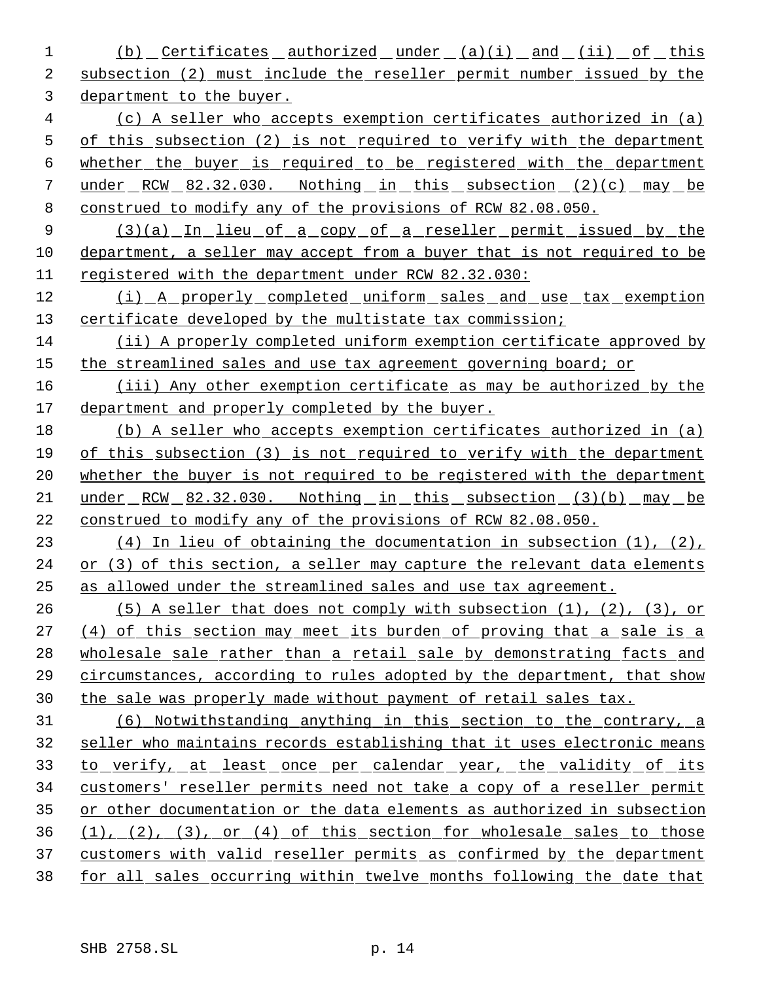1 (b) Certificates authorized under (a)(i) and (ii) of this subsection (2) must include the reseller permit number issued by the department to the buyer. (c) A seller who accepts exemption certificates authorized in (a) 5 of this subsection (2) is not required to verify with the department whether the buyer is required to be registered with the department under RCW 82.32.030. Nothing in this subsection (2)(c) may be construed to modify any of the provisions of RCW 82.08.050. 9 (3)(a) In lieu of a copy of a reseller permit issued by the department, a seller may accept from a buyer that is not required to be registered with the department under RCW 82.32.030: (i) A properly completed uniform sales and use tax exemption certificate developed by the multistate tax commission; (ii) A properly completed uniform exemption certificate approved by 15 the streamlined sales and use tax agreement governing board; or (iii) Any other exemption certificate as may be authorized by the department and properly completed by the buyer. (b) A seller who accepts exemption certificates authorized in (a) of this subsection (3) is not required to verify with the department 20 whether the buyer is not required to be registered with the department under RCW 82.32.030. Nothing in this subsection (3)(b) may be 22 construed to modify any of the provisions of RCW 82.08.050. (4) In lieu of obtaining the documentation in subsection (1), (2), or (3) of this section, a seller may capture the relevant data elements as allowed under the streamlined sales and use tax agreement. (5) A seller that does not comply with subsection (1), (2), (3), or (4) of this section may meet its burden of proving that a sale is a 28 wholesale sale rather than a retail sale by demonstrating facts and circumstances, according to rules adopted by the department, that show the sale was properly made without payment of retail sales tax. (6) Notwithstanding anything in this section to the contrary, a seller who maintains records establishing that it uses electronic means 33 to verify, at least once per calendar year, the validity of its customers' reseller permits need not take a copy of a reseller permit 35 or other documentation or the data elements as authorized in subsection (1), (2), (3), or (4) of this section for wholesale sales to those 37 customers with valid reseller permits as confirmed by the department for all sales occurring within twelve months following the date that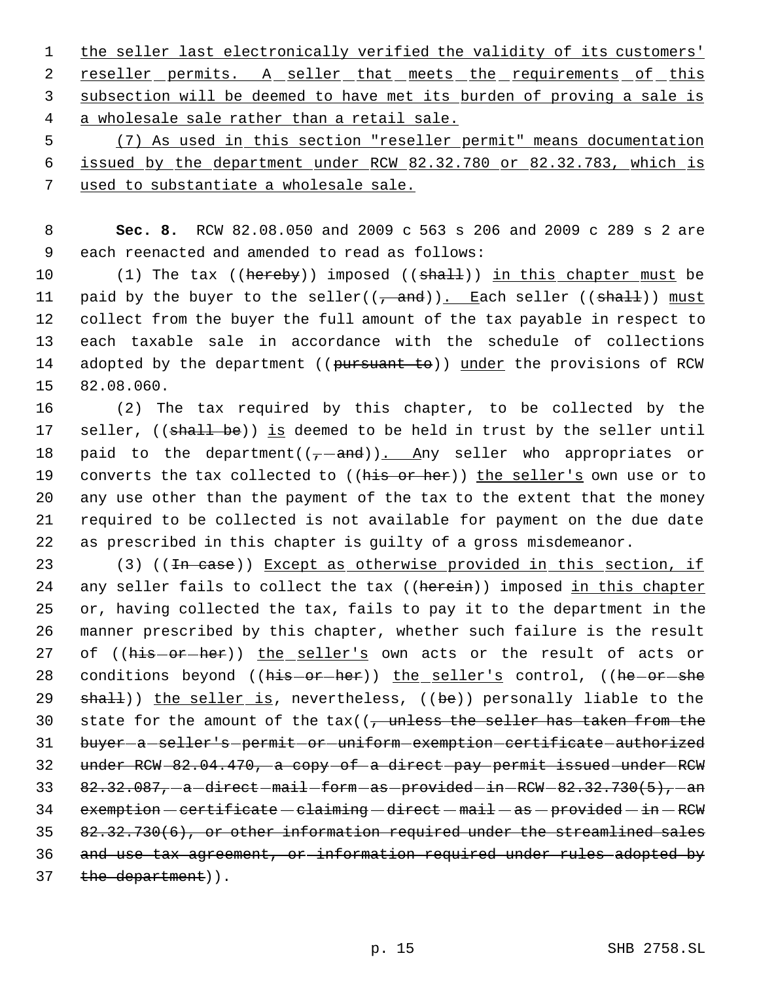1 the seller last electronically verified the validity of its customers' 2 reseller permits. A seller that meets the requirements of this 3 subsection will be deemed to have met its burden of proving a sale is 4 a wholesale sale rather than a retail sale.

 5 (7) As used in this section "reseller permit" means documentation 6 issued by the department under RCW 82.32.780 or 82.32.783, which is 7 used to substantiate a wholesale sale.

 8 **Sec. 8.** RCW 82.08.050 and 2009 c 563 s 206 and 2009 c 289 s 2 are 9 each reenacted and amended to read as follows:

10 (1) The tax ((hereby)) imposed ((shall)) in this chapter must be 11 paid by the buyer to the seller( $(\frac{1}{1} + \frac{1}{2})$ . Each seller ( $(\frac{1}{3} + \frac{1}{2})$ ) must 12 collect from the buyer the full amount of the tax payable in respect to 13 each taxable sale in accordance with the schedule of collections 14 adopted by the department ((pursuant to)) under the provisions of RCW 15 82.08.060.

16 (2) The tax required by this chapter, to be collected by the 17 seller, ((shall be)) is deemed to be held in trust by the seller until 18 paid to the department( $(-$ and)). Any seller who appropriates or 19 converts the tax collected to ((his or her)) the seller's own use or to 20 any use other than the payment of the tax to the extent that the money 21 required to be collected is not available for payment on the due date 22 as prescribed in this chapter is guilty of a gross misdemeanor.

23 (3) ((In case)) Except as otherwise provided in this section, if 24 any seller fails to collect the tax ((herein)) imposed in this chapter 25 or, having collected the tax, fails to pay it to the department in the 26 manner prescribed by this chapter, whether such failure is the result 27 of ((his-or-her)) the seller's own acts or the result of acts or 28 conditions beyond ((his-or-her)) the seller's control, ((he-or-she 29 shall)) the seller is, nevertheless, ((be)) personally liable to the 30 state for the amount of the  $\text{tax}(1, \frac{1}{2})$  the seller has taken from the 31 buyer-a-seller's-permit-or-uniform-exemption-certificate-authorized 32 under RCW 82.04.470, a copy of a direct pay permit issued under RCW 33  $82.32.087$ ,  $-a$  -direct  $-mail$  form  $-as$  -provided  $-in$  RCW  $-82.32.730(5)$ ,  $-an$ 34 exemption - certificate - claiming - direct - mail - as - provided - in - RCW 35 82.32.730(6), or other information required under the streamlined sales 36 and use tax agreement, or information required under rules adopted by 37 the department)).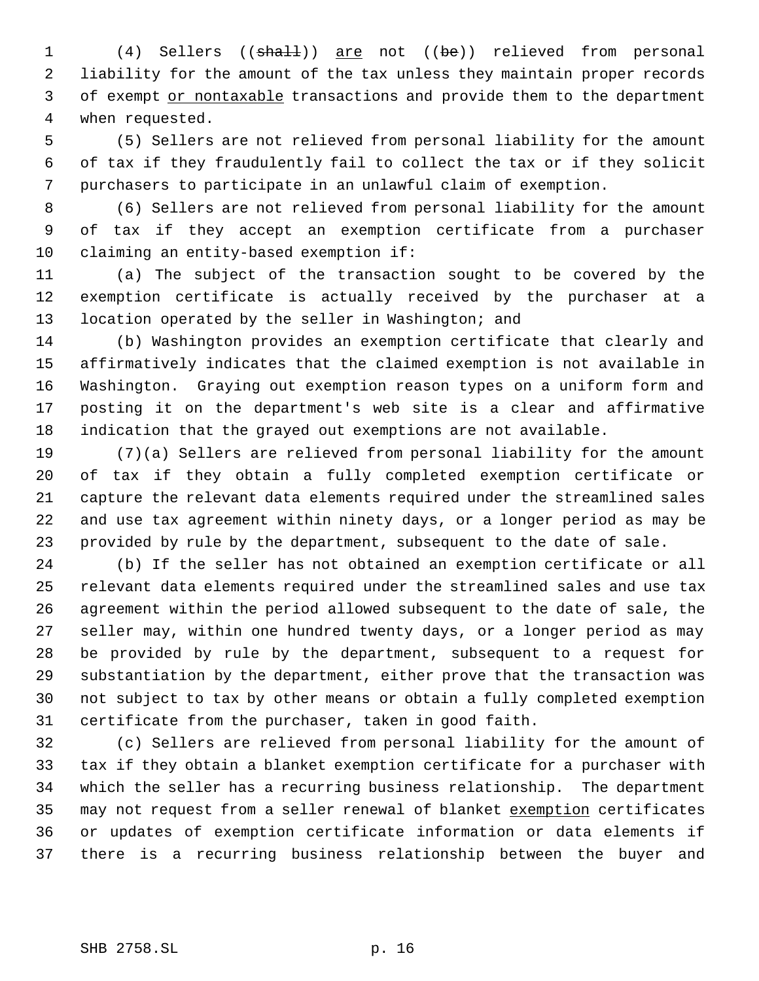1 (4) Sellers ((shall)) are not ((be)) relieved from personal liability for the amount of the tax unless they maintain proper records 3 of exempt or nontaxable transactions and provide them to the department when requested.

 (5) Sellers are not relieved from personal liability for the amount of tax if they fraudulently fail to collect the tax or if they solicit purchasers to participate in an unlawful claim of exemption.

 (6) Sellers are not relieved from personal liability for the amount of tax if they accept an exemption certificate from a purchaser claiming an entity-based exemption if:

 (a) The subject of the transaction sought to be covered by the exemption certificate is actually received by the purchaser at a 13 location operated by the seller in Washington; and

 (b) Washington provides an exemption certificate that clearly and affirmatively indicates that the claimed exemption is not available in Washington. Graying out exemption reason types on a uniform form and posting it on the department's web site is a clear and affirmative indication that the grayed out exemptions are not available.

 (7)(a) Sellers are relieved from personal liability for the amount of tax if they obtain a fully completed exemption certificate or capture the relevant data elements required under the streamlined sales and use tax agreement within ninety days, or a longer period as may be provided by rule by the department, subsequent to the date of sale.

 (b) If the seller has not obtained an exemption certificate or all relevant data elements required under the streamlined sales and use tax agreement within the period allowed subsequent to the date of sale, the seller may, within one hundred twenty days, or a longer period as may be provided by rule by the department, subsequent to a request for substantiation by the department, either prove that the transaction was not subject to tax by other means or obtain a fully completed exemption certificate from the purchaser, taken in good faith.

 (c) Sellers are relieved from personal liability for the amount of tax if they obtain a blanket exemption certificate for a purchaser with which the seller has a recurring business relationship. The department 35 may not request from a seller renewal of blanket exemption certificates or updates of exemption certificate information or data elements if there is a recurring business relationship between the buyer and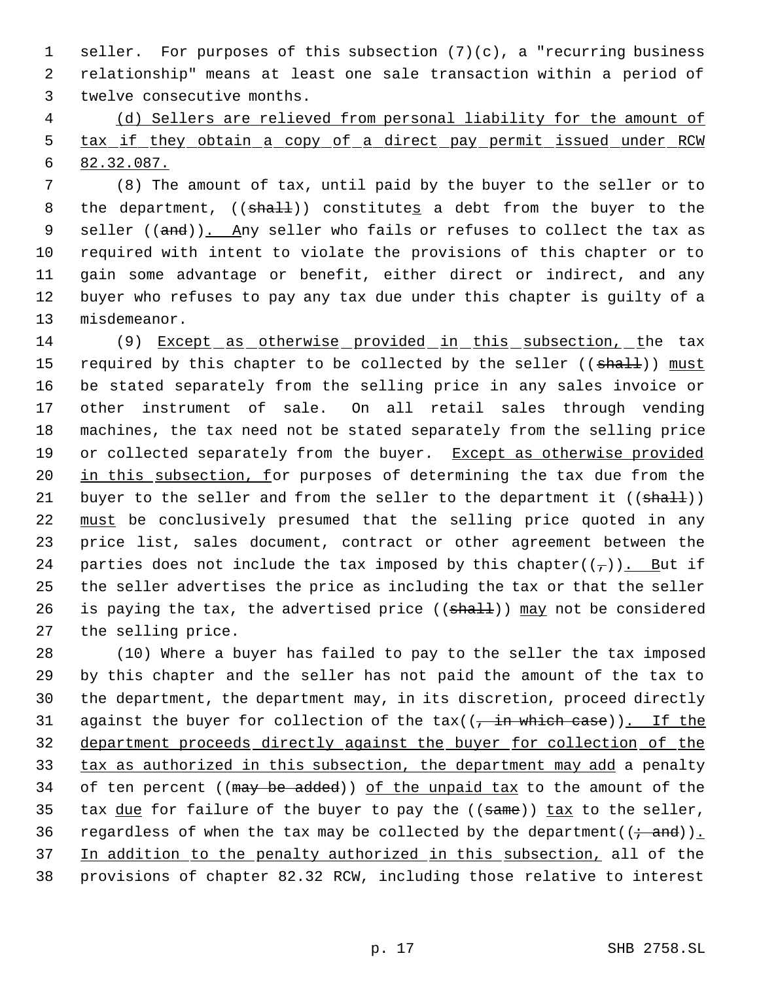seller. For purposes of this subsection (7)(c), a "recurring business relationship" means at least one sale transaction within a period of twelve consecutive months.

 (d) Sellers are relieved from personal liability for the amount of tax if they obtain a copy of a direct pay permit issued under RCW 82.32.087.

 (8) The amount of tax, until paid by the buyer to the seller or to 8 the department,  $((shall))$  constitutes a debt from the buyer to the 9 seller ((and)). Any seller who fails or refuses to collect the tax as required with intent to violate the provisions of this chapter or to gain some advantage or benefit, either direct or indirect, and any buyer who refuses to pay any tax due under this chapter is guilty of a misdemeanor.

 (9) Except as otherwise provided in this subsection, the tax 15 required by this chapter to be collected by the seller ((shall)) must be stated separately from the selling price in any sales invoice or other instrument of sale. On all retail sales through vending machines, the tax need not be stated separately from the selling price 19 or collected separately from the buyer. Except as otherwise provided 20 in this subsection, for purposes of determining the tax due from the 21 buyer to the seller and from the seller to the department it  $((shall))$ 22 must be conclusively presumed that the selling price quoted in any price list, sales document, contract or other agreement between the 24 parties does not include the tax imposed by this chapter( $(\tau)$ ). But if the seller advertises the price as including the tax or that the seller 26 is paying the tax, the advertised price  $((shall))$  may not be considered the selling price.

 (10) Where a buyer has failed to pay to the seller the tax imposed by this chapter and the seller has not paid the amount of the tax to the department, the department may, in its discretion, proceed directly 31 against the buyer for collection of the  $tax((-in which case))$ . If the department proceeds directly against the buyer for collection of the tax as authorized in this subsection, the department may add a penalty 34 of ten percent ((may be added)) of the unpaid tax to the amount of the 35 tax due for failure of the buyer to pay the  $((\text{same}))$  tax to the seller, 36 regardless of when the tax may be collected by the department( $(i - and)$ ). 37 In addition to the penalty authorized in this subsection, all of the provisions of chapter 82.32 RCW, including those relative to interest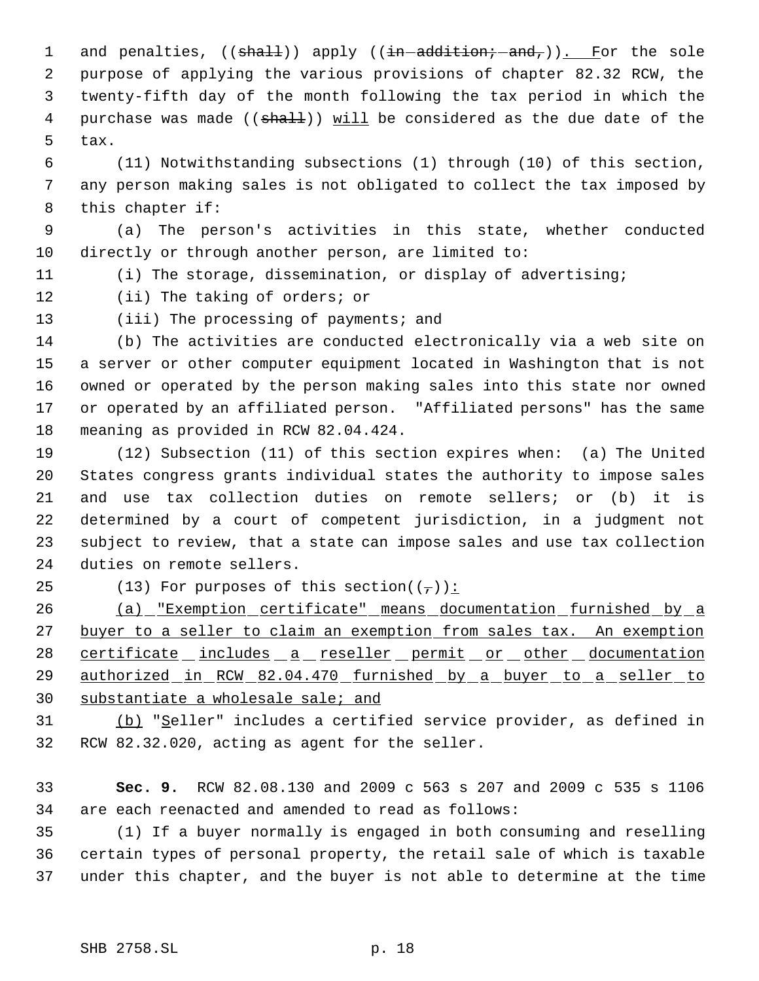1 and penalties, ((shall)) apply ((in addition; and,)). For the sole purpose of applying the various provisions of chapter 82.32 RCW, the twenty-fifth day of the month following the tax period in which the 4 purchase was made ((shall)) will be considered as the due date of the tax.

 (11) Notwithstanding subsections (1) through (10) of this section, any person making sales is not obligated to collect the tax imposed by this chapter if:

 (a) The person's activities in this state, whether conducted directly or through another person, are limited to:

(i) The storage, dissemination, or display of advertising;

(ii) The taking of orders; or

13 (iii) The processing of payments; and

 (b) The activities are conducted electronically via a web site on a server or other computer equipment located in Washington that is not owned or operated by the person making sales into this state nor owned or operated by an affiliated person. "Affiliated persons" has the same meaning as provided in RCW 82.04.424.

 (12) Subsection (11) of this section expires when: (a) The United States congress grants individual states the authority to impose sales and use tax collection duties on remote sellers; or (b) it is determined by a court of competent jurisdiction, in a judgment not subject to review, that a state can impose sales and use tax collection duties on remote sellers.

25 (13) For purposes of this section( $(\tau)$ ):

 (a) "Exemption certificate" means documentation furnished by a 27 buyer to a seller to claim an exemption from sales tax. An exemption 28 certificate includes a reseller permit or other documentation 29 authorized in RCW 82.04.470 furnished by a buyer to a seller to substantiate a wholesale sale; and

31 (b) "Seller" includes a certified service provider, as defined in RCW 82.32.020, acting as agent for the seller.

 **Sec. 9.** RCW 82.08.130 and 2009 c 563 s 207 and 2009 c 535 s 1106 are each reenacted and amended to read as follows:

 (1) If a buyer normally is engaged in both consuming and reselling certain types of personal property, the retail sale of which is taxable under this chapter, and the buyer is not able to determine at the time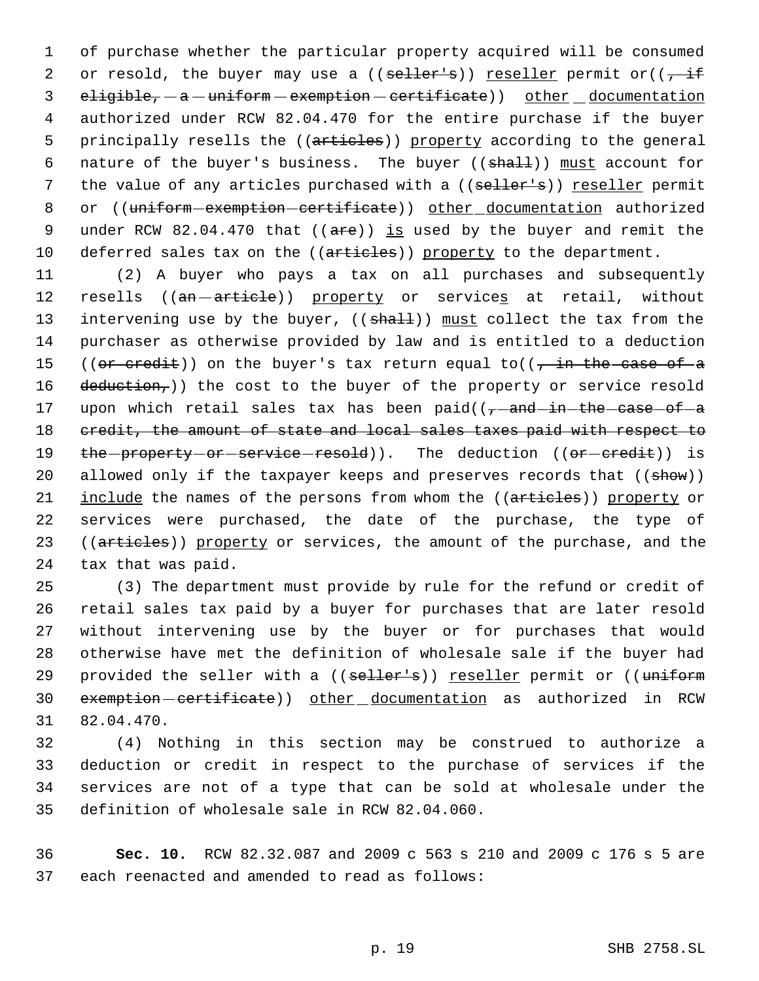1 of purchase whether the particular property acquired will be consumed 2 or resold, the buyer may use a (( $\text{selfer's}$ )) reseller permit or(( $\frac{1}{\sqrt{1+\frac{1}{\sqrt{1+\frac{1}{\sqrt{1+\frac{1}{\sqrt{1+\frac{1}{\sqrt{1+\frac{1}{\sqrt{1+\frac{1}{\sqrt{1+\frac{1}{\sqrt{1+\frac{1}{\sqrt{1+\frac{1}{\sqrt{1+\frac{1}{\sqrt{1+\frac{1}{\sqrt{1+\frac{1}{\sqrt{1+\frac{1}{\sqrt{1+\frac{1}{\sqrt{1+\frac{1}{\sqrt{1+\frac{1}{\sqrt{1$ 3 eligible, - a - uniform - exemption - certificate) other documentation 4 authorized under RCW 82.04.470 for the entire purchase if the buyer 5 principally resells the ((articles)) property according to the general 6 nature of the buyer's business. The buyer ((shall)) must account for 7 the value of any articles purchased with a ((seller's)) reseller permit 8 or ((uniform-exemption-certificate)) other documentation authorized 9 under RCW 82.04.470 that  $((are))$  is used by the buyer and remit the 10 deferred sales tax on the ((articles)) property to the department.

11 (2) A buyer who pays a tax on all purchases and subsequently 12 resells ((an -article)) property or services at retail, without 13 intervening use by the buyer, ((shall)) must collect the tax from the 14 purchaser as otherwise provided by law and is entitled to a deduction 15 ((or credit)) on the buyer's tax return equal to(( $\frac{1}{10}$  the case of a 16 deduction,)) the cost to the buyer of the property or service resold 17 upon which retail sales tax has been  $paid((\tau - and - in - the - case - of -a))$ 18 credit, the amount of state and local sales taxes paid with respect to 19 the property or service resold)). The deduction ((or credit)) is 20 allowed only if the taxpayer keeps and preserves records that ((show)) 21 include the names of the persons from whom the ((articles)) property or 22 services were purchased, the date of the purchase, the type of 23 ((articles)) property or services, the amount of the purchase, and the 24 tax that was paid.

 (3) The department must provide by rule for the refund or credit of retail sales tax paid by a buyer for purchases that are later resold without intervening use by the buyer or for purchases that would otherwise have met the definition of wholesale sale if the buyer had 29 provided the seller with a ((seller's)) reseller permit or ((uniform 30 exemption-certificate)) other documentation as authorized in RCW 82.04.470.

 (4) Nothing in this section may be construed to authorize a deduction or credit in respect to the purchase of services if the services are not of a type that can be sold at wholesale under the definition of wholesale sale in RCW 82.04.060.

36 **Sec. 10.** RCW 82.32.087 and 2009 c 563 s 210 and 2009 c 176 s 5 are 37 each reenacted and amended to read as follows: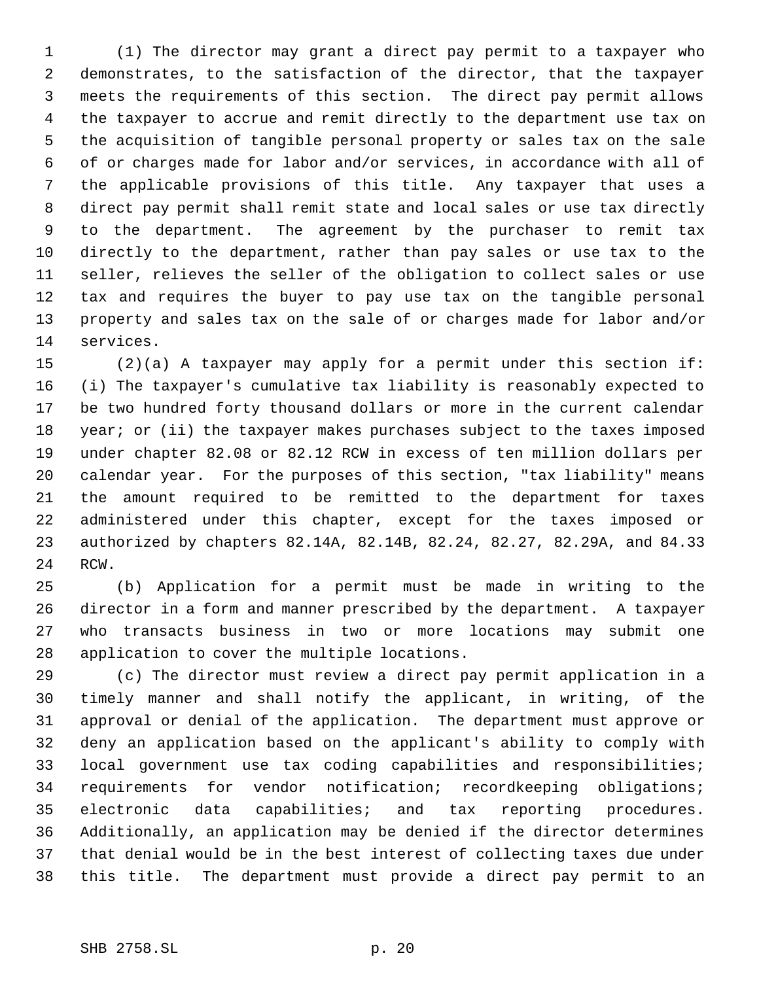(1) The director may grant a direct pay permit to a taxpayer who demonstrates, to the satisfaction of the director, that the taxpayer meets the requirements of this section. The direct pay permit allows the taxpayer to accrue and remit directly to the department use tax on the acquisition of tangible personal property or sales tax on the sale of or charges made for labor and/or services, in accordance with all of the applicable provisions of this title. Any taxpayer that uses a direct pay permit shall remit state and local sales or use tax directly to the department. The agreement by the purchaser to remit tax directly to the department, rather than pay sales or use tax to the seller, relieves the seller of the obligation to collect sales or use tax and requires the buyer to pay use tax on the tangible personal property and sales tax on the sale of or charges made for labor and/or services.

 (2)(a) A taxpayer may apply for a permit under this section if: (i) The taxpayer's cumulative tax liability is reasonably expected to be two hundred forty thousand dollars or more in the current calendar 18 year; or (ii) the taxpayer makes purchases subject to the taxes imposed under chapter 82.08 or 82.12 RCW in excess of ten million dollars per calendar year. For the purposes of this section, "tax liability" means the amount required to be remitted to the department for taxes administered under this chapter, except for the taxes imposed or authorized by chapters 82.14A, 82.14B, 82.24, 82.27, 82.29A, and 84.33 RCW.

 (b) Application for a permit must be made in writing to the director in a form and manner prescribed by the department. A taxpayer who transacts business in two or more locations may submit one application to cover the multiple locations.

 (c) The director must review a direct pay permit application in a timely manner and shall notify the applicant, in writing, of the approval or denial of the application. The department must approve or deny an application based on the applicant's ability to comply with local government use tax coding capabilities and responsibilities; requirements for vendor notification; recordkeeping obligations; electronic data capabilities; and tax reporting procedures. Additionally, an application may be denied if the director determines that denial would be in the best interest of collecting taxes due under this title. The department must provide a direct pay permit to an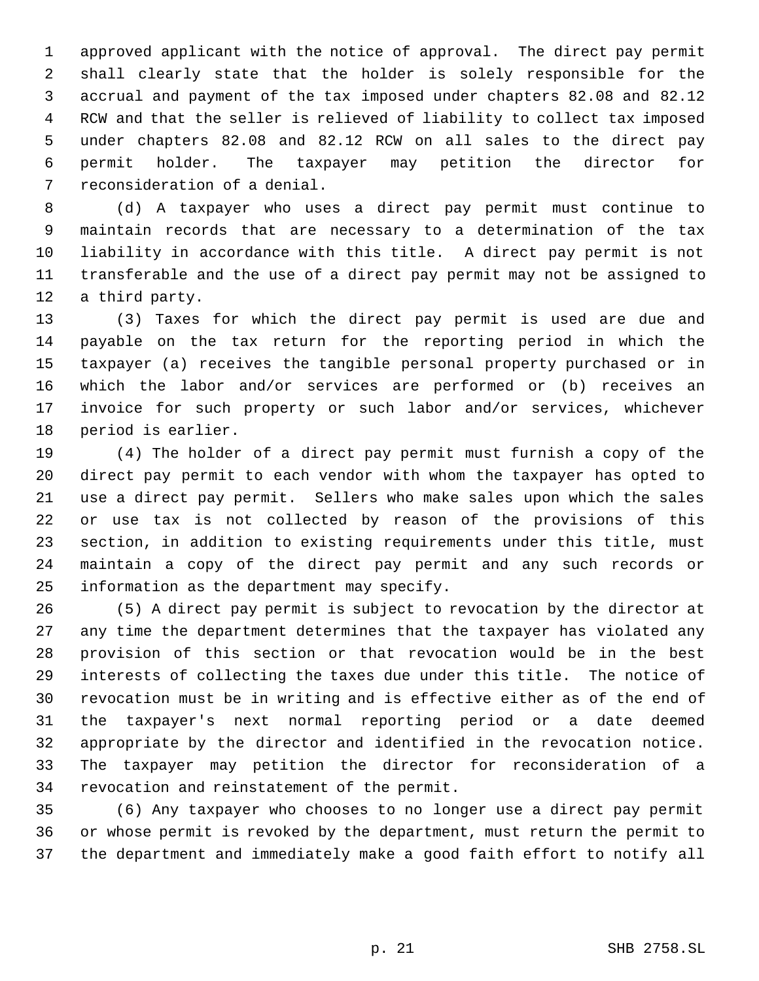approved applicant with the notice of approval. The direct pay permit shall clearly state that the holder is solely responsible for the accrual and payment of the tax imposed under chapters 82.08 and 82.12 RCW and that the seller is relieved of liability to collect tax imposed under chapters 82.08 and 82.12 RCW on all sales to the direct pay permit holder. The taxpayer may petition the director for reconsideration of a denial.

 (d) A taxpayer who uses a direct pay permit must continue to maintain records that are necessary to a determination of the tax liability in accordance with this title. A direct pay permit is not transferable and the use of a direct pay permit may not be assigned to a third party.

 (3) Taxes for which the direct pay permit is used are due and payable on the tax return for the reporting period in which the taxpayer (a) receives the tangible personal property purchased or in which the labor and/or services are performed or (b) receives an invoice for such property or such labor and/or services, whichever period is earlier.

 (4) The holder of a direct pay permit must furnish a copy of the direct pay permit to each vendor with whom the taxpayer has opted to use a direct pay permit. Sellers who make sales upon which the sales or use tax is not collected by reason of the provisions of this section, in addition to existing requirements under this title, must maintain a copy of the direct pay permit and any such records or information as the department may specify.

 (5) A direct pay permit is subject to revocation by the director at any time the department determines that the taxpayer has violated any provision of this section or that revocation would be in the best interests of collecting the taxes due under this title. The notice of revocation must be in writing and is effective either as of the end of the taxpayer's next normal reporting period or a date deemed appropriate by the director and identified in the revocation notice. The taxpayer may petition the director for reconsideration of a revocation and reinstatement of the permit.

 (6) Any taxpayer who chooses to no longer use a direct pay permit or whose permit is revoked by the department, must return the permit to the department and immediately make a good faith effort to notify all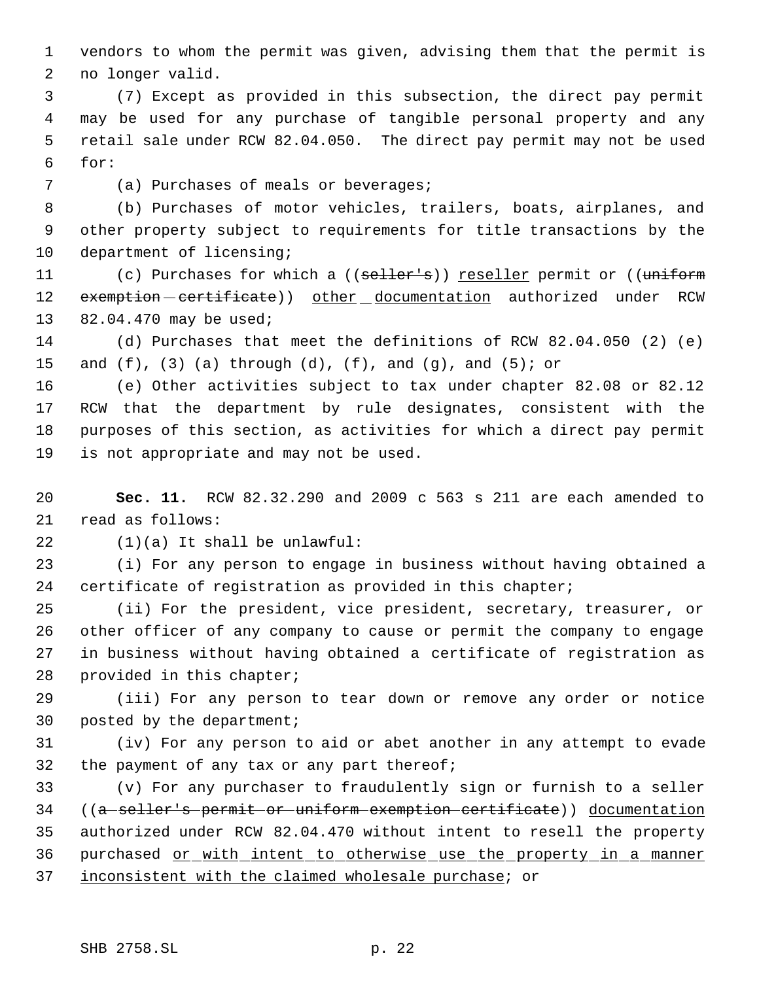vendors to whom the permit was given, advising them that the permit is no longer valid.

 (7) Except as provided in this subsection, the direct pay permit may be used for any purchase of tangible personal property and any retail sale under RCW 82.04.050. The direct pay permit may not be used for:

(a) Purchases of meals or beverages;

 (b) Purchases of motor vehicles, trailers, boats, airplanes, and other property subject to requirements for title transactions by the 10 department of licensing;

11 (c) Purchases for which a ((seller's)) reseller permit or ((uniform 12 exemption - certificate)) other documentation authorized under RCW 82.04.470 may be used;

 (d) Purchases that meet the definitions of RCW 82.04.050 (2) (e) 15 and  $(f)$ ,  $(3)$   $(a)$  through  $(d)$ ,  $(f)$ , and  $(g)$ , and  $(5)$ ; or

 (e) Other activities subject to tax under chapter 82.08 or 82.12 RCW that the department by rule designates, consistent with the purposes of this section, as activities for which a direct pay permit is not appropriate and may not be used.

 **Sec. 11.** RCW 82.32.290 and 2009 c 563 s 211 are each amended to read as follows:

(1)(a) It shall be unlawful:

 (i) For any person to engage in business without having obtained a certificate of registration as provided in this chapter;

 (ii) For the president, vice president, secretary, treasurer, or other officer of any company to cause or permit the company to engage in business without having obtained a certificate of registration as provided in this chapter;

 (iii) For any person to tear down or remove any order or notice posted by the department;

 (iv) For any person to aid or abet another in any attempt to evade the payment of any tax or any part thereof;

 (v) For any purchaser to fraudulently sign or furnish to a seller ((a seller's permit or uniform exemption certificate)) documentation authorized under RCW 82.04.470 without intent to resell the property purchased or with intent to otherwise use the property in a manner inconsistent with the claimed wholesale purchase; or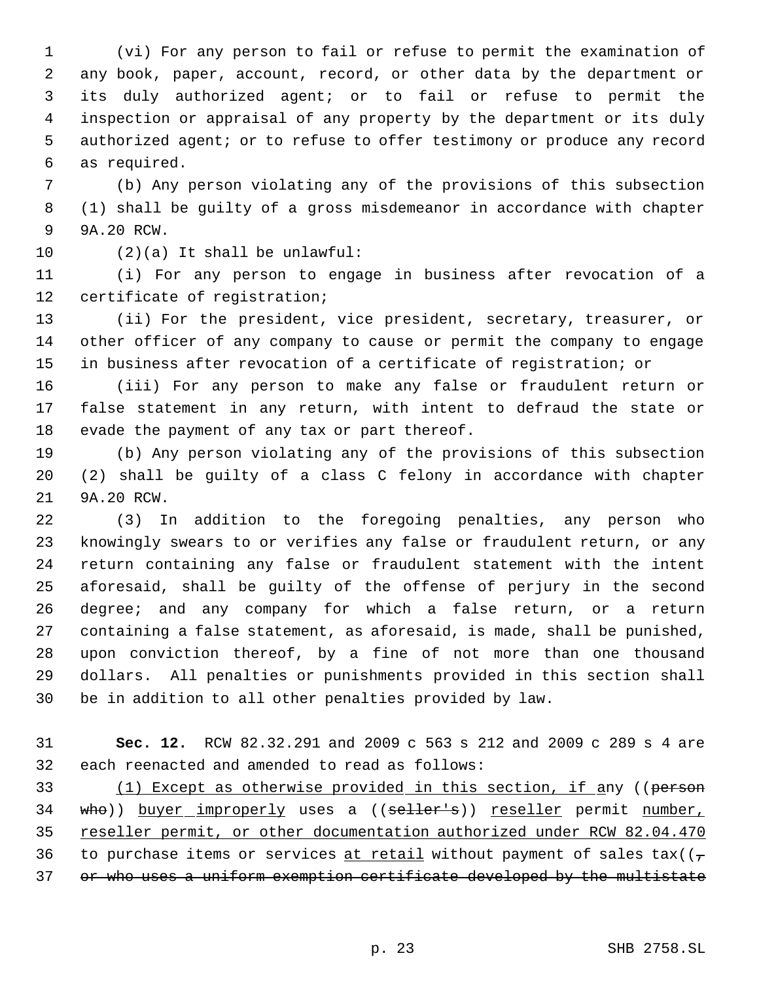(vi) For any person to fail or refuse to permit the examination of any book, paper, account, record, or other data by the department or its duly authorized agent; or to fail or refuse to permit the inspection or appraisal of any property by the department or its duly authorized agent; or to refuse to offer testimony or produce any record as required.

 (b) Any person violating any of the provisions of this subsection (1) shall be guilty of a gross misdemeanor in accordance with chapter 9A.20 RCW.

(2)(a) It shall be unlawful:

 (i) For any person to engage in business after revocation of a certificate of registration;

 (ii) For the president, vice president, secretary, treasurer, or other officer of any company to cause or permit the company to engage in business after revocation of a certificate of registration; or

 (iii) For any person to make any false or fraudulent return or false statement in any return, with intent to defraud the state or evade the payment of any tax or part thereof.

 (b) Any person violating any of the provisions of this subsection (2) shall be guilty of a class C felony in accordance with chapter 9A.20 RCW.

 (3) In addition to the foregoing penalties, any person who knowingly swears to or verifies any false or fraudulent return, or any return containing any false or fraudulent statement with the intent aforesaid, shall be guilty of the offense of perjury in the second degree; and any company for which a false return, or a return containing a false statement, as aforesaid, is made, shall be punished, upon conviction thereof, by a fine of not more than one thousand dollars. All penalties or punishments provided in this section shall be in addition to all other penalties provided by law.

 **Sec. 12.** RCW 82.32.291 and 2009 c 563 s 212 and 2009 c 289 s 4 are each reenacted and amended to read as follows:

33 (1) Except as otherwise provided in this section, if any ((person 34 who)) buyer improperly uses a ((seller's)) reseller permit number, reseller permit, or other documentation authorized under RCW 82.04.470 36 to purchase items or services at retail without payment of sales tax( $(\tau)$ 37 or who uses a uniform exemption certificate developed by the multistate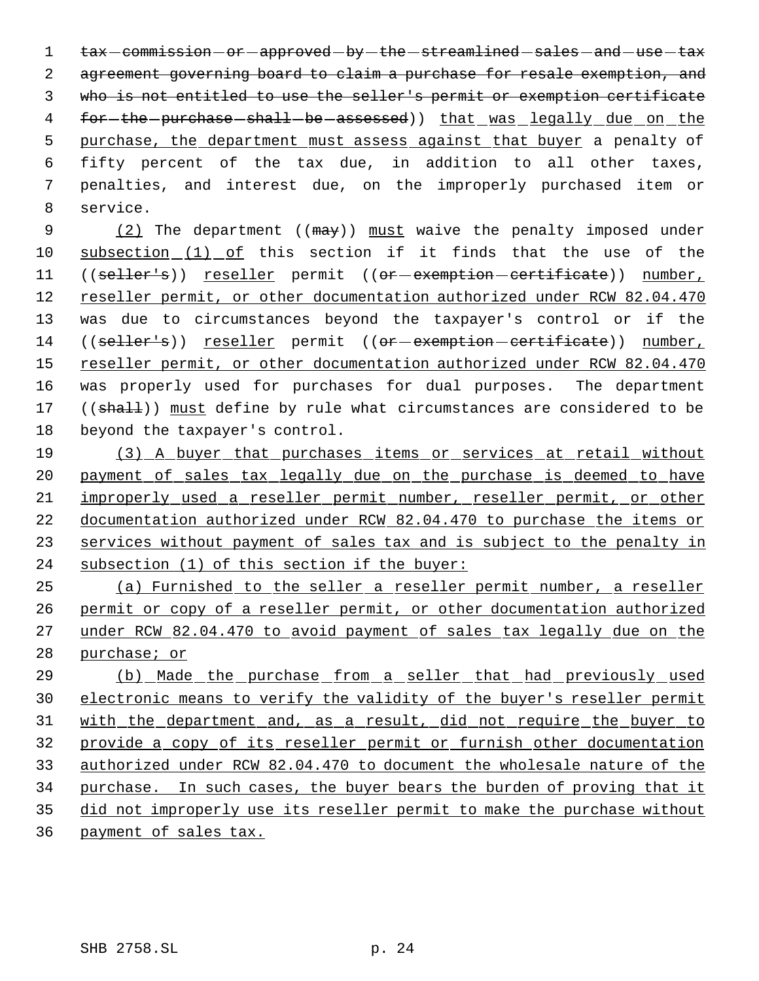1 tax - commission - or - approved - by - the - streamlined - sales - and - use - tax agreement governing board to claim a purchase for resale exemption, and who is not entitled to use the seller's permit or exemption certificate 4 for-the-purchase-shall-be-assessed)) that was legally due on the 5 purchase, the department must assess against that buyer a penalty of fifty percent of the tax due, in addition to all other taxes, penalties, and interest due, on the improperly purchased item or service.

9 (2) The department ((may)) must waive the penalty imposed under subsection (1) of this section if it finds that the use of the 11 ((seller's)) reseller permit ((or-exemption-certificate)) number, 12 reseller permit, or other documentation authorized under RCW 82.04.470 was due to circumstances beyond the taxpayer's control or if the 14 ((seller's)) reseller permit ((or-exemption-certificate)) number, reseller permit, or other documentation authorized under RCW 82.04.470 was properly used for purchases for dual purposes. The department 17 ((shall)) must define by rule what circumstances are considered to be beyond the taxpayer's control.

 (3) A buyer that purchases items or services at retail without payment of sales tax legally due on the purchase is deemed to have improperly used a reseller permit number, reseller permit, or other documentation authorized under RCW 82.04.470 to purchase the items or services without payment of sales tax and is subject to the penalty in subsection (1) of this section if the buyer:

 (a) Furnished to the seller a reseller permit number, a reseller permit or copy of a reseller permit, or other documentation authorized 27 under RCW 82.04.470 to avoid payment of sales tax legally due on the purchase; or

 (b) Made the purchase from a seller that had previously used electronic means to verify the validity of the buyer's reseller permit 31 with the department and, as a result, did not require the buyer to provide a copy of its reseller permit or furnish other documentation authorized under RCW 82.04.470 to document the wholesale nature of the purchase. In such cases, the buyer bears the burden of proving that it did not improperly use its reseller permit to make the purchase without payment of sales tax.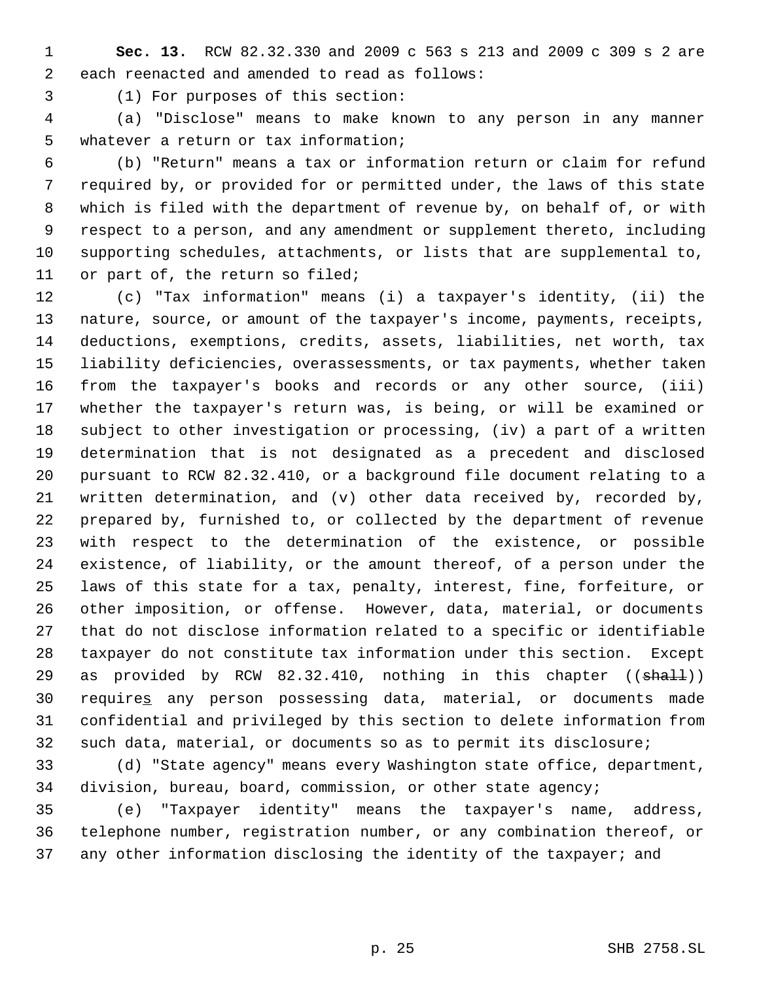**Sec. 13.** RCW 82.32.330 and 2009 c 563 s 213 and 2009 c 309 s 2 are each reenacted and amended to read as follows:

(1) For purposes of this section:

 (a) "Disclose" means to make known to any person in any manner whatever a return or tax information;

 (b) "Return" means a tax or information return or claim for refund required by, or provided for or permitted under, the laws of this state which is filed with the department of revenue by, on behalf of, or with respect to a person, and any amendment or supplement thereto, including supporting schedules, attachments, or lists that are supplemental to, or part of, the return so filed;

 (c) "Tax information" means (i) a taxpayer's identity, (ii) the nature, source, or amount of the taxpayer's income, payments, receipts, deductions, exemptions, credits, assets, liabilities, net worth, tax liability deficiencies, overassessments, or tax payments, whether taken from the taxpayer's books and records or any other source, (iii) whether the taxpayer's return was, is being, or will be examined or subject to other investigation or processing, (iv) a part of a written determination that is not designated as a precedent and disclosed pursuant to RCW 82.32.410, or a background file document relating to a written determination, and (v) other data received by, recorded by, prepared by, furnished to, or collected by the department of revenue with respect to the determination of the existence, or possible existence, of liability, or the amount thereof, of a person under the laws of this state for a tax, penalty, interest, fine, forfeiture, or other imposition, or offense. However, data, material, or documents that do not disclose information related to a specific or identifiable taxpayer do not constitute tax information under this section. Except 29 as provided by RCW  $82.32.410$ , nothing in this chapter (( $\text{shall})$ ) requires any person possessing data, material, or documents made confidential and privileged by this section to delete information from such data, material, or documents so as to permit its disclosure;

 (d) "State agency" means every Washington state office, department, division, bureau, board, commission, or other state agency;

 (e) "Taxpayer identity" means the taxpayer's name, address, telephone number, registration number, or any combination thereof, or 37 any other information disclosing the identity of the taxpayer; and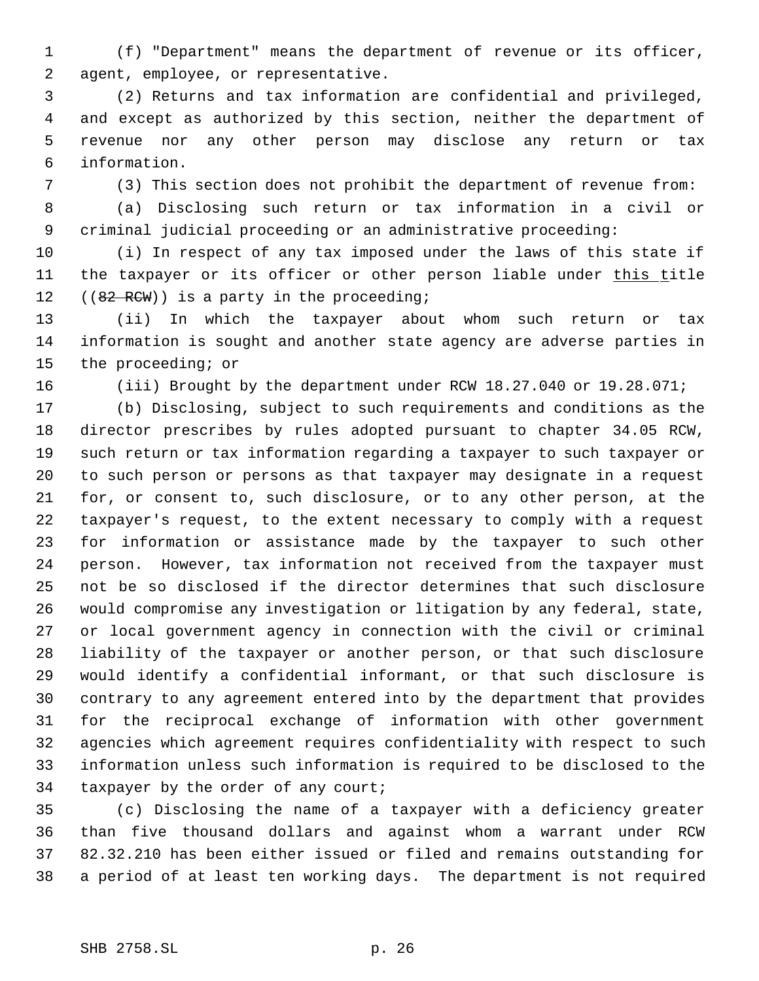(f) "Department" means the department of revenue or its officer, agent, employee, or representative.

 (2) Returns and tax information are confidential and privileged, and except as authorized by this section, neither the department of revenue nor any other person may disclose any return or tax information.

(3) This section does not prohibit the department of revenue from:

 (a) Disclosing such return or tax information in a civil or criminal judicial proceeding or an administrative proceeding:

 (i) In respect of any tax imposed under the laws of this state if 11 the taxpayer or its officer or other person liable under this title 12 ((82 RCW)) is a party in the proceeding;

 (ii) In which the taxpayer about whom such return or tax information is sought and another state agency are adverse parties in the proceeding; or

(iii) Brought by the department under RCW 18.27.040 or 19.28.071;

 (b) Disclosing, subject to such requirements and conditions as the director prescribes by rules adopted pursuant to chapter 34.05 RCW, such return or tax information regarding a taxpayer to such taxpayer or to such person or persons as that taxpayer may designate in a request for, or consent to, such disclosure, or to any other person, at the taxpayer's request, to the extent necessary to comply with a request for information or assistance made by the taxpayer to such other person. However, tax information not received from the taxpayer must not be so disclosed if the director determines that such disclosure would compromise any investigation or litigation by any federal, state, or local government agency in connection with the civil or criminal liability of the taxpayer or another person, or that such disclosure would identify a confidential informant, or that such disclosure is contrary to any agreement entered into by the department that provides for the reciprocal exchange of information with other government agencies which agreement requires confidentiality with respect to such information unless such information is required to be disclosed to the 34 taxpayer by the order of any court;

 (c) Disclosing the name of a taxpayer with a deficiency greater than five thousand dollars and against whom a warrant under RCW 82.32.210 has been either issued or filed and remains outstanding for a period of at least ten working days. The department is not required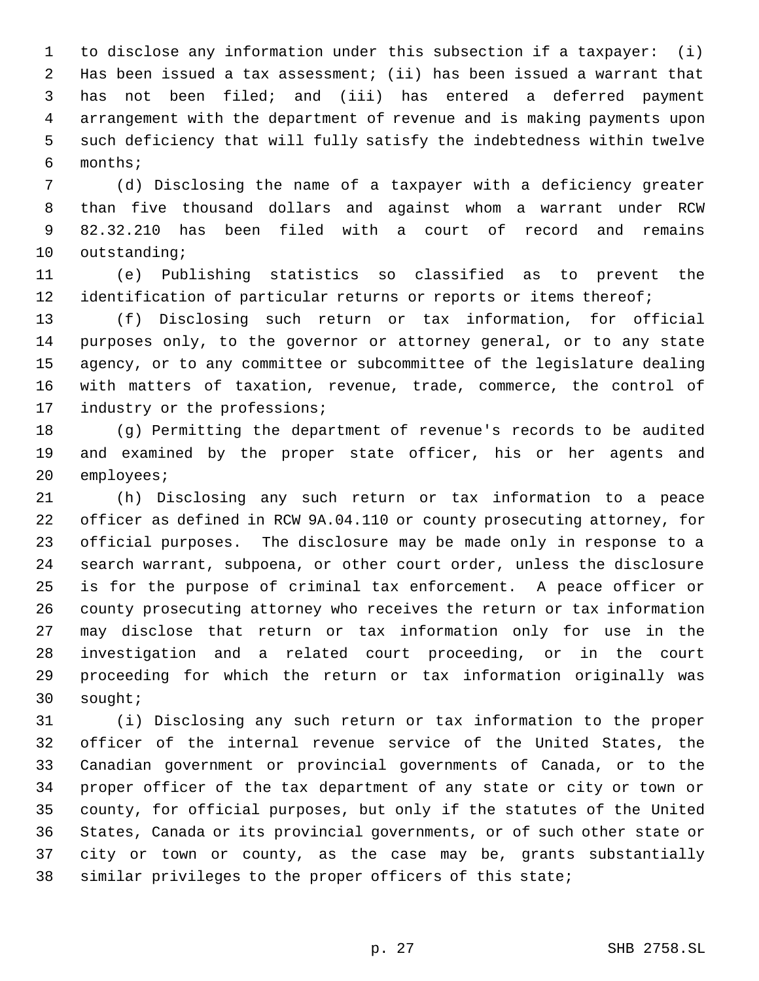to disclose any information under this subsection if a taxpayer: (i) Has been issued a tax assessment; (ii) has been issued a warrant that has not been filed; and (iii) has entered a deferred payment arrangement with the department of revenue and is making payments upon such deficiency that will fully satisfy the indebtedness within twelve months;

 (d) Disclosing the name of a taxpayer with a deficiency greater than five thousand dollars and against whom a warrant under RCW 82.32.210 has been filed with a court of record and remains outstanding;

 (e) Publishing statistics so classified as to prevent the 12 identification of particular returns or reports or items thereof;

 (f) Disclosing such return or tax information, for official purposes only, to the governor or attorney general, or to any state agency, or to any committee or subcommittee of the legislature dealing with matters of taxation, revenue, trade, commerce, the control of 17 industry or the professions;

 (g) Permitting the department of revenue's records to be audited and examined by the proper state officer, his or her agents and employees;

 (h) Disclosing any such return or tax information to a peace officer as defined in RCW 9A.04.110 or county prosecuting attorney, for official purposes. The disclosure may be made only in response to a search warrant, subpoena, or other court order, unless the disclosure is for the purpose of criminal tax enforcement. A peace officer or county prosecuting attorney who receives the return or tax information may disclose that return or tax information only for use in the investigation and a related court proceeding, or in the court proceeding for which the return or tax information originally was sought;

 (i) Disclosing any such return or tax information to the proper officer of the internal revenue service of the United States, the Canadian government or provincial governments of Canada, or to the proper officer of the tax department of any state or city or town or county, for official purposes, but only if the statutes of the United States, Canada or its provincial governments, or of such other state or city or town or county, as the case may be, grants substantially similar privileges to the proper officers of this state;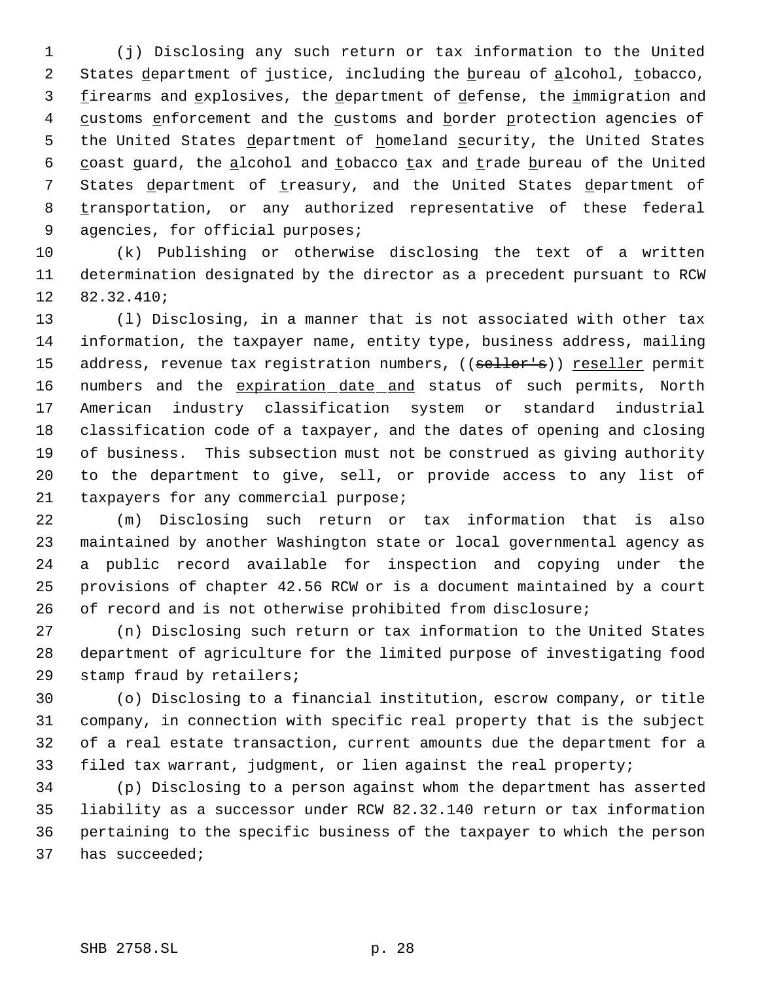(j) Disclosing any such return or tax information to the United 2 States department of justice, including the bureau of alcohol, tobacco, 3 firearms and explosives, the department of defense, the immigration and 4 customs enforcement and the customs and border protection agencies of 5 the United States department of homeland security, the United States 6 coast guard, the alcohol and tobacco tax and trade bureau of the United 7 States department of treasury, and the United States department of 8 transportation, or any authorized representative of these federal agencies, for official purposes;

 (k) Publishing or otherwise disclosing the text of a written determination designated by the director as a precedent pursuant to RCW 82.32.410;

 (l) Disclosing, in a manner that is not associated with other tax information, the taxpayer name, entity type, business address, mailing 15 address, revenue tax registration numbers, ((seller's)) reseller permit 16 numbers and the expiration date and status of such permits, North American industry classification system or standard industrial classification code of a taxpayer, and the dates of opening and closing of business. This subsection must not be construed as giving authority to the department to give, sell, or provide access to any list of taxpayers for any commercial purpose;

 (m) Disclosing such return or tax information that is also maintained by another Washington state or local governmental agency as a public record available for inspection and copying under the provisions of chapter 42.56 RCW or is a document maintained by a court 26 of record and is not otherwise prohibited from disclosure;

 (n) Disclosing such return or tax information to the United States department of agriculture for the limited purpose of investigating food stamp fraud by retailers;

 (o) Disclosing to a financial institution, escrow company, or title company, in connection with specific real property that is the subject of a real estate transaction, current amounts due the department for a filed tax warrant, judgment, or lien against the real property;

 (p) Disclosing to a person against whom the department has asserted liability as a successor under RCW 82.32.140 return or tax information pertaining to the specific business of the taxpayer to which the person has succeeded;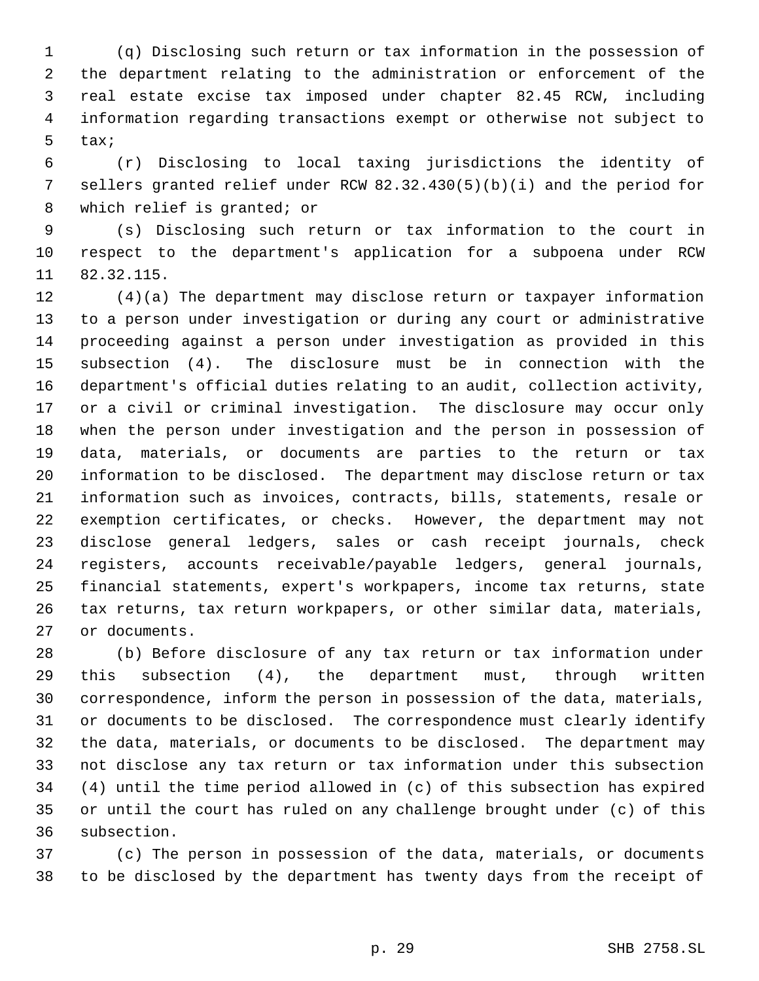(q) Disclosing such return or tax information in the possession of the department relating to the administration or enforcement of the real estate excise tax imposed under chapter 82.45 RCW, including information regarding transactions exempt or otherwise not subject to tax;

 (r) Disclosing to local taxing jurisdictions the identity of sellers granted relief under RCW 82.32.430(5)(b)(i) and the period for 8 which relief is granted; or

 (s) Disclosing such return or tax information to the court in respect to the department's application for a subpoena under RCW 82.32.115.

 (4)(a) The department may disclose return or taxpayer information to a person under investigation or during any court or administrative proceeding against a person under investigation as provided in this subsection (4). The disclosure must be in connection with the department's official duties relating to an audit, collection activity, or a civil or criminal investigation. The disclosure may occur only when the person under investigation and the person in possession of data, materials, or documents are parties to the return or tax information to be disclosed. The department may disclose return or tax information such as invoices, contracts, bills, statements, resale or exemption certificates, or checks. However, the department may not disclose general ledgers, sales or cash receipt journals, check registers, accounts receivable/payable ledgers, general journals, financial statements, expert's workpapers, income tax returns, state tax returns, tax return workpapers, or other similar data, materials, or documents.

 (b) Before disclosure of any tax return or tax information under this subsection (4), the department must, through written correspondence, inform the person in possession of the data, materials, or documents to be disclosed. The correspondence must clearly identify the data, materials, or documents to be disclosed. The department may not disclose any tax return or tax information under this subsection (4) until the time period allowed in (c) of this subsection has expired or until the court has ruled on any challenge brought under (c) of this subsection.

 (c) The person in possession of the data, materials, or documents to be disclosed by the department has twenty days from the receipt of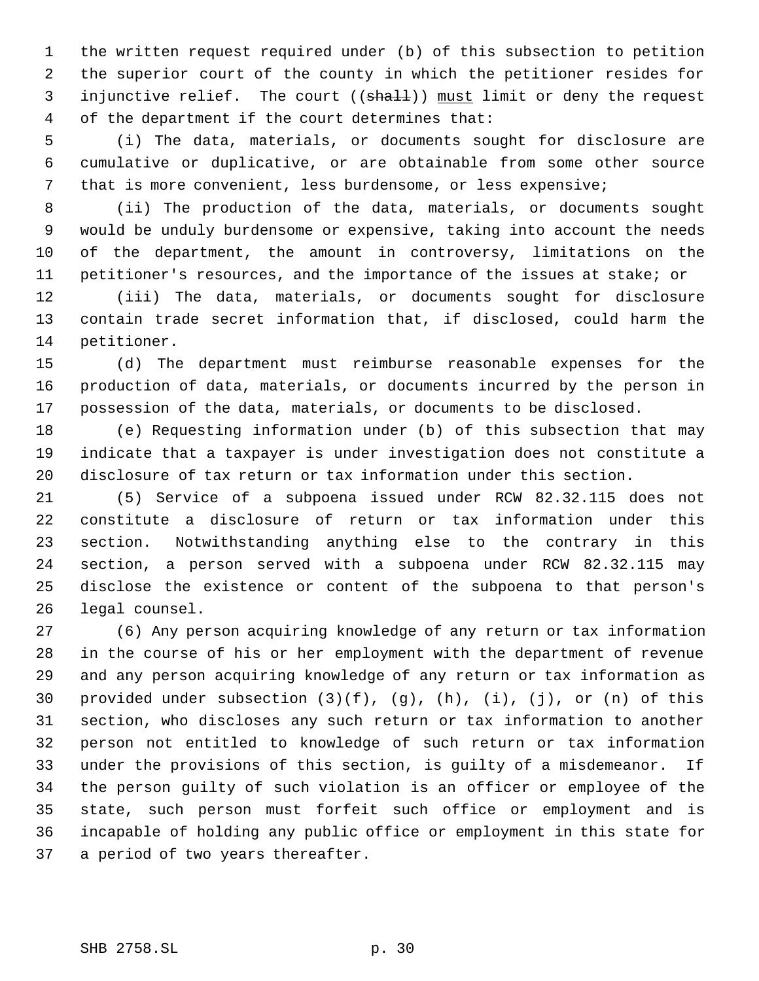the written request required under (b) of this subsection to petition the superior court of the county in which the petitioner resides for 3 injunctive relief. The court ((shall)) must limit or deny the request of the department if the court determines that:

 (i) The data, materials, or documents sought for disclosure are cumulative or duplicative, or are obtainable from some other source that is more convenient, less burdensome, or less expensive;

 (ii) The production of the data, materials, or documents sought would be unduly burdensome or expensive, taking into account the needs of the department, the amount in controversy, limitations on the petitioner's resources, and the importance of the issues at stake; or

 (iii) The data, materials, or documents sought for disclosure contain trade secret information that, if disclosed, could harm the petitioner.

 (d) The department must reimburse reasonable expenses for the production of data, materials, or documents incurred by the person in possession of the data, materials, or documents to be disclosed.

 (e) Requesting information under (b) of this subsection that may indicate that a taxpayer is under investigation does not constitute a disclosure of tax return or tax information under this section.

 (5) Service of a subpoena issued under RCW 82.32.115 does not constitute a disclosure of return or tax information under this section. Notwithstanding anything else to the contrary in this section, a person served with a subpoena under RCW 82.32.115 may disclose the existence or content of the subpoena to that person's legal counsel.

 (6) Any person acquiring knowledge of any return or tax information in the course of his or her employment with the department of revenue and any person acquiring knowledge of any return or tax information as provided under subsection (3)(f), (g), (h), (i), (j), or (n) of this section, who discloses any such return or tax information to another person not entitled to knowledge of such return or tax information under the provisions of this section, is guilty of a misdemeanor. If the person guilty of such violation is an officer or employee of the state, such person must forfeit such office or employment and is incapable of holding any public office or employment in this state for a period of two years thereafter.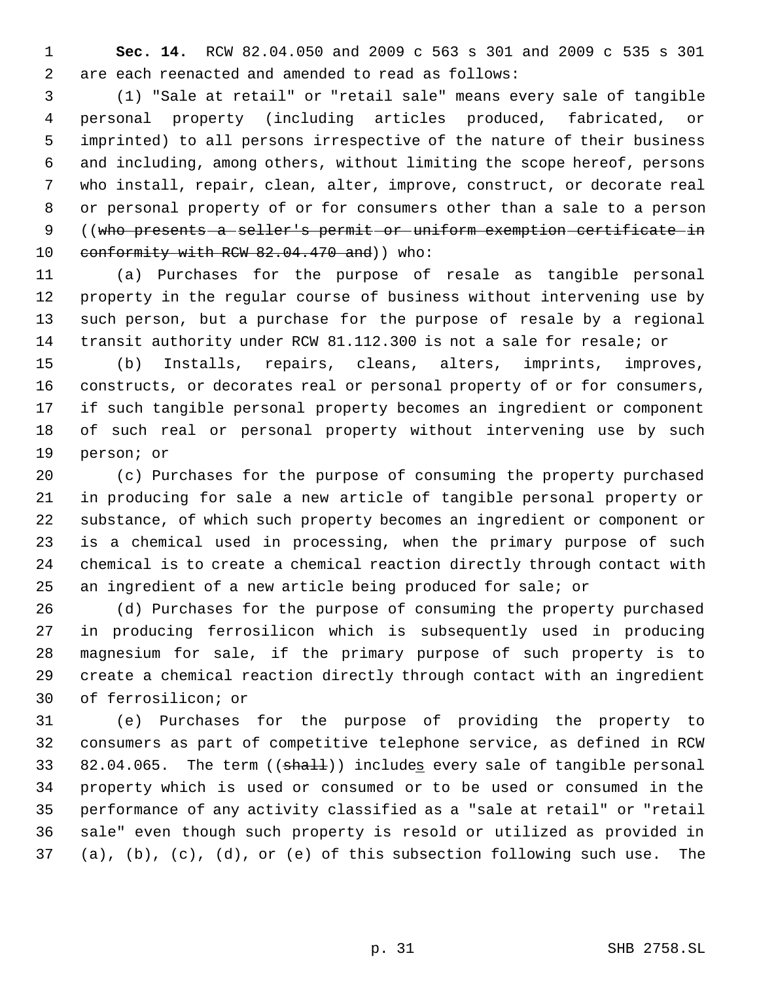**Sec. 14.** RCW 82.04.050 and 2009 c 563 s 301 and 2009 c 535 s 301 are each reenacted and amended to read as follows:

 (1) "Sale at retail" or "retail sale" means every sale of tangible personal property (including articles produced, fabricated, or imprinted) to all persons irrespective of the nature of their business and including, among others, without limiting the scope hereof, persons who install, repair, clean, alter, improve, construct, or decorate real or personal property of or for consumers other than a sale to a person ((who presents a seller's permit or uniform exemption certificate in 10 conformity with RCW 82.04.470 and) who:

 (a) Purchases for the purpose of resale as tangible personal property in the regular course of business without intervening use by such person, but a purchase for the purpose of resale by a regional transit authority under RCW 81.112.300 is not a sale for resale; or

 (b) Installs, repairs, cleans, alters, imprints, improves, constructs, or decorates real or personal property of or for consumers, if such tangible personal property becomes an ingredient or component of such real or personal property without intervening use by such person; or

 (c) Purchases for the purpose of consuming the property purchased in producing for sale a new article of tangible personal property or substance, of which such property becomes an ingredient or component or is a chemical used in processing, when the primary purpose of such chemical is to create a chemical reaction directly through contact with an ingredient of a new article being produced for sale; or

 (d) Purchases for the purpose of consuming the property purchased in producing ferrosilicon which is subsequently used in producing magnesium for sale, if the primary purpose of such property is to create a chemical reaction directly through contact with an ingredient of ferrosilicon; or

 (e) Purchases for the purpose of providing the property to consumers as part of competitive telephone service, as defined in RCW 33 82.04.065. The term ((shall)) includes every sale of tangible personal property which is used or consumed or to be used or consumed in the performance of any activity classified as a "sale at retail" or "retail sale" even though such property is resold or utilized as provided in (a), (b), (c), (d), or (e) of this subsection following such use. The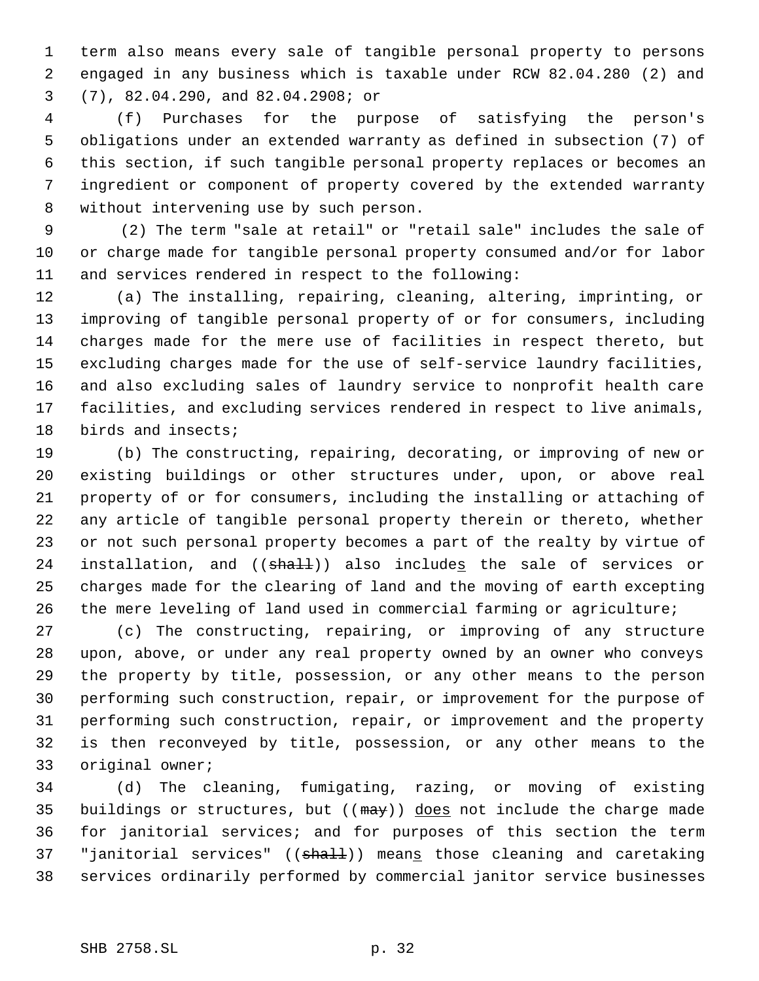term also means every sale of tangible personal property to persons engaged in any business which is taxable under RCW 82.04.280 (2) and (7), 82.04.290, and 82.04.2908; or

 (f) Purchases for the purpose of satisfying the person's obligations under an extended warranty as defined in subsection (7) of this section, if such tangible personal property replaces or becomes an ingredient or component of property covered by the extended warranty without intervening use by such person.

 9 (2) The term "sale at retail" or "retail sale" includes the sale of or charge made for tangible personal property consumed and/or for labor and services rendered in respect to the following:

 (a) The installing, repairing, cleaning, altering, imprinting, or improving of tangible personal property of or for consumers, including charges made for the mere use of facilities in respect thereto, but excluding charges made for the use of self-service laundry facilities, and also excluding sales of laundry service to nonprofit health care facilities, and excluding services rendered in respect to live animals, birds and insects;

 (b) The constructing, repairing, decorating, or improving of new or existing buildings or other structures under, upon, or above real property of or for consumers, including the installing or attaching of any article of tangible personal property therein or thereto, whether or not such personal property becomes a part of the realty by virtue of 24 installation, and ((shall)) also includes the sale of services or charges made for the clearing of land and the moving of earth excepting the mere leveling of land used in commercial farming or agriculture;

 (c) The constructing, repairing, or improving of any structure upon, above, or under any real property owned by an owner who conveys the property by title, possession, or any other means to the person performing such construction, repair, or improvement for the purpose of performing such construction, repair, or improvement and the property is then reconveyed by title, possession, or any other means to the original owner;

 (d) The cleaning, fumigating, razing, or moving of existing 35 buildings or structures, but ( $(\text{max})$ ) does not include the charge made for janitorial services; and for purposes of this section the term 37 "janitorial services" ((shall)) means those cleaning and caretaking services ordinarily performed by commercial janitor service businesses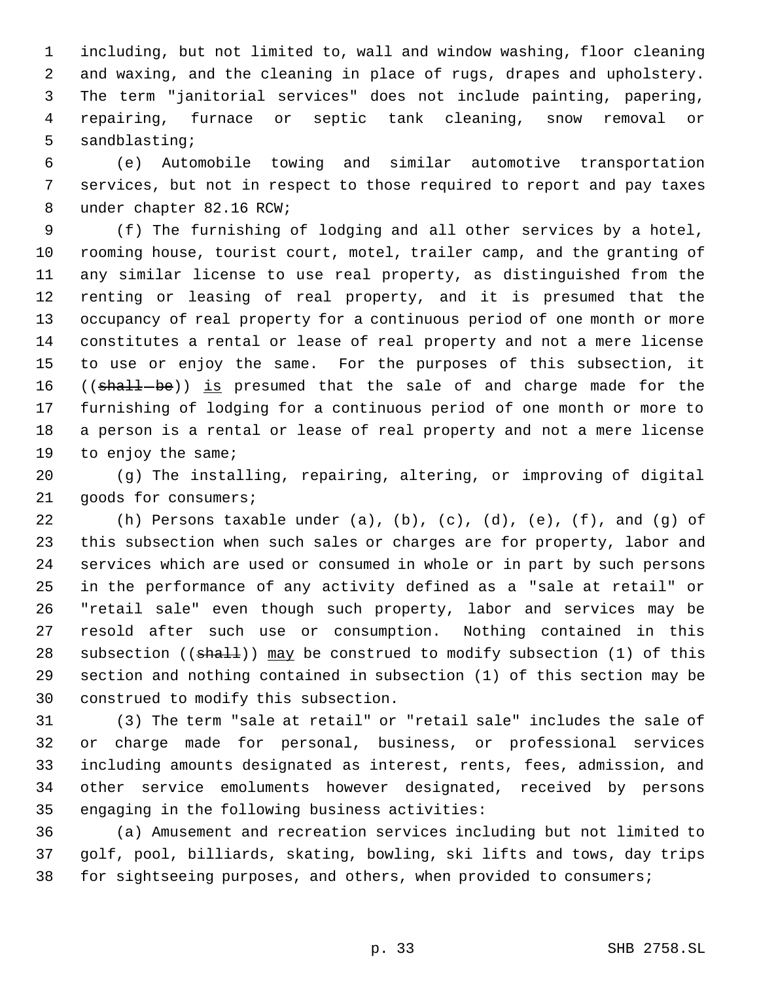including, but not limited to, wall and window washing, floor cleaning and waxing, and the cleaning in place of rugs, drapes and upholstery. The term "janitorial services" does not include painting, papering, repairing, furnace or septic tank cleaning, snow removal or sandblasting;

 (e) Automobile towing and similar automotive transportation services, but not in respect to those required to report and pay taxes under chapter 82.16 RCW;

 (f) The furnishing of lodging and all other services by a hotel, rooming house, tourist court, motel, trailer camp, and the granting of any similar license to use real property, as distinguished from the renting or leasing of real property, and it is presumed that the occupancy of real property for a continuous period of one month or more constitutes a rental or lease of real property and not a mere license to use or enjoy the same. For the purposes of this subsection, it 16 ((shall-be)) is presumed that the sale of and charge made for the furnishing of lodging for a continuous period of one month or more to a person is a rental or lease of real property and not a mere license 19 to enjoy the same;

 (g) The installing, repairing, altering, or improving of digital goods for consumers;

 (h) Persons taxable under (a), (b), (c), (d), (e), (f), and (g) of this subsection when such sales or charges are for property, labor and services which are used or consumed in whole or in part by such persons in the performance of any activity defined as a "sale at retail" or "retail sale" even though such property, labor and services may be resold after such use or consumption. Nothing contained in this 28 subsection ((shall)) may be construed to modify subsection (1) of this section and nothing contained in subsection (1) of this section may be construed to modify this subsection.

 (3) The term "sale at retail" or "retail sale" includes the sale of or charge made for personal, business, or professional services including amounts designated as interest, rents, fees, admission, and other service emoluments however designated, received by persons engaging in the following business activities:

 (a) Amusement and recreation services including but not limited to golf, pool, billiards, skating, bowling, ski lifts and tows, day trips for sightseeing purposes, and others, when provided to consumers;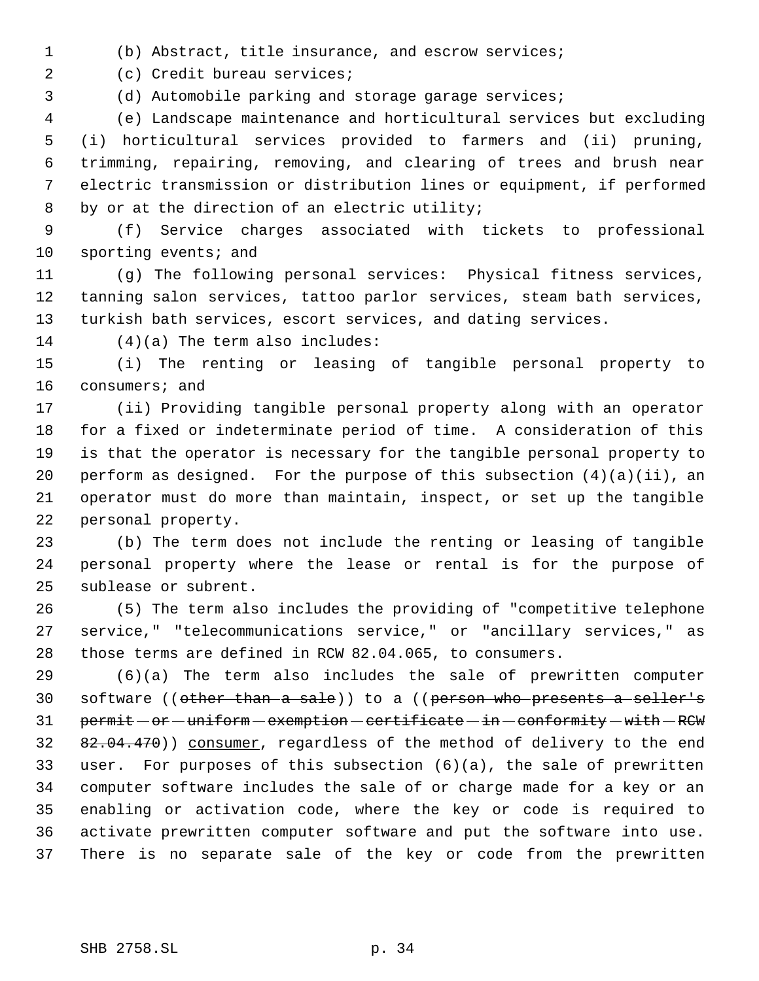(b) Abstract, title insurance, and escrow services;

(c) Credit bureau services;

(d) Automobile parking and storage garage services;

 (e) Landscape maintenance and horticultural services but excluding (i) horticultural services provided to farmers and (ii) pruning, trimming, repairing, removing, and clearing of trees and brush near electric transmission or distribution lines or equipment, if performed by or at the direction of an electric utility;

 (f) Service charges associated with tickets to professional 10 sporting events; and

 (g) The following personal services: Physical fitness services, tanning salon services, tattoo parlor services, steam bath services, turkish bath services, escort services, and dating services.

(4)(a) The term also includes:

 (i) The renting or leasing of tangible personal property to consumers; and

 (ii) Providing tangible personal property along with an operator for a fixed or indeterminate period of time. A consideration of this is that the operator is necessary for the tangible personal property to perform as designed. For the purpose of this subsection (4)(a)(ii), an operator must do more than maintain, inspect, or set up the tangible personal property.

 (b) The term does not include the renting or leasing of tangible personal property where the lease or rental is for the purpose of sublease or subrent.

 (5) The term also includes the providing of "competitive telephone service," "telecommunications service," or "ancillary services," as those terms are defined in RCW 82.04.065, to consumers.

 (6)(a) The term also includes the sale of prewritten computer software ((other than a sale)) to a ((person who presents a seller's 31 permit - or - uniform - exemption - certificate - in - conformity - with - RCW 32 82.04.470)) consumer, regardless of the method of delivery to the end user. For purposes of this subsection (6)(a), the sale of prewritten computer software includes the sale of or charge made for a key or an enabling or activation code, where the key or code is required to activate prewritten computer software and put the software into use. There is no separate sale of the key or code from the prewritten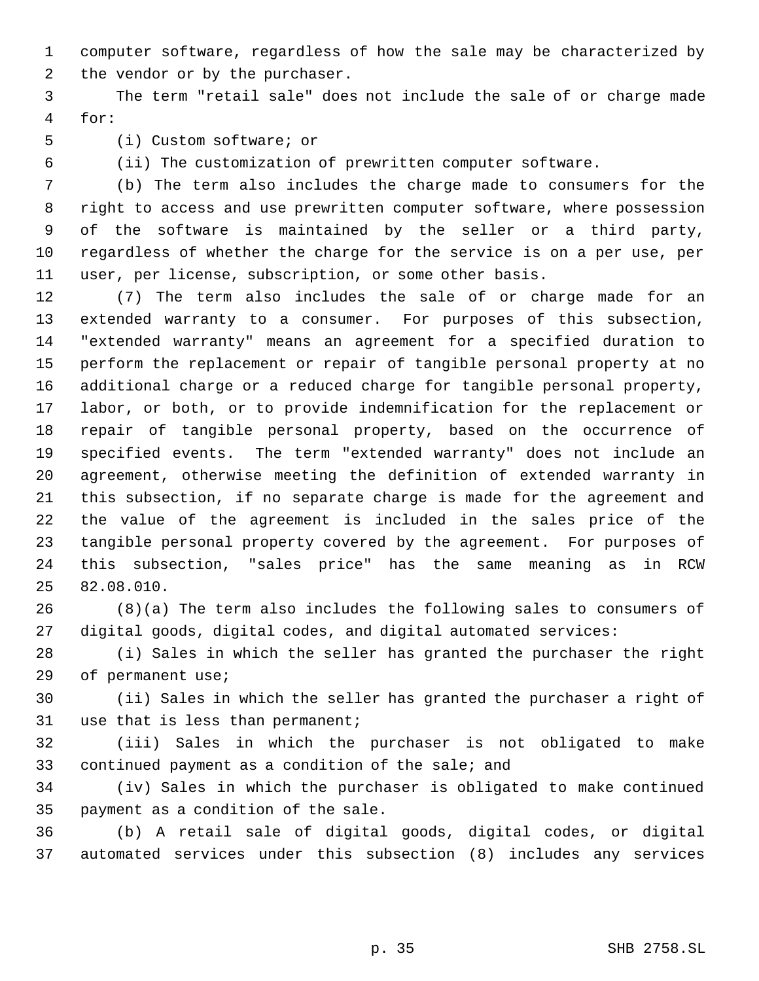computer software, regardless of how the sale may be characterized by the vendor or by the purchaser.

 The term "retail sale" does not include the sale of or charge made for:

(i) Custom software; or

(ii) The customization of prewritten computer software.

 (b) The term also includes the charge made to consumers for the right to access and use prewritten computer software, where possession of the software is maintained by the seller or a third party, regardless of whether the charge for the service is on a per use, per user, per license, subscription, or some other basis.

 (7) The term also includes the sale of or charge made for an extended warranty to a consumer. For purposes of this subsection, "extended warranty" means an agreement for a specified duration to perform the replacement or repair of tangible personal property at no additional charge or a reduced charge for tangible personal property, labor, or both, or to provide indemnification for the replacement or repair of tangible personal property, based on the occurrence of specified events. The term "extended warranty" does not include an agreement, otherwise meeting the definition of extended warranty in this subsection, if no separate charge is made for the agreement and the value of the agreement is included in the sales price of the tangible personal property covered by the agreement. For purposes of this subsection, "sales price" has the same meaning as in RCW 82.08.010.

 (8)(a) The term also includes the following sales to consumers of digital goods, digital codes, and digital automated services:

 (i) Sales in which the seller has granted the purchaser the right of permanent use;

 (ii) Sales in which the seller has granted the purchaser a right of use that is less than permanent;

 (iii) Sales in which the purchaser is not obligated to make continued payment as a condition of the sale; and

 (iv) Sales in which the purchaser is obligated to make continued payment as a condition of the sale.

 (b) A retail sale of digital goods, digital codes, or digital automated services under this subsection (8) includes any services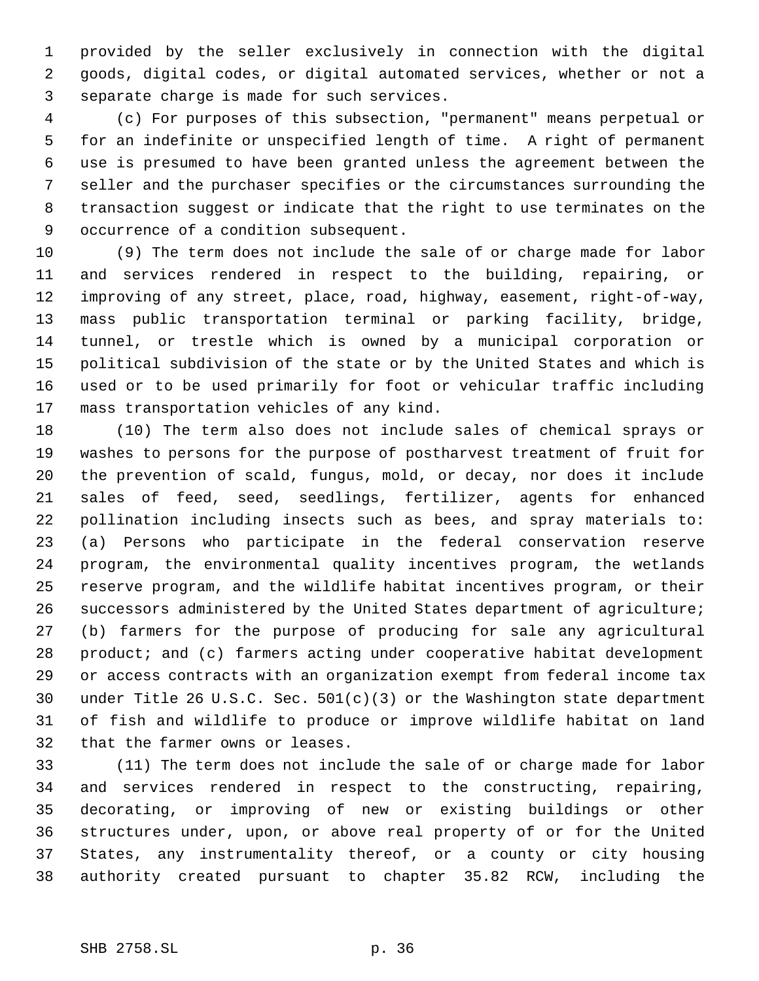provided by the seller exclusively in connection with the digital goods, digital codes, or digital automated services, whether or not a separate charge is made for such services.

 (c) For purposes of this subsection, "permanent" means perpetual or for an indefinite or unspecified length of time. A right of permanent use is presumed to have been granted unless the agreement between the seller and the purchaser specifies or the circumstances surrounding the transaction suggest or indicate that the right to use terminates on the occurrence of a condition subsequent.

 (9) The term does not include the sale of or charge made for labor and services rendered in respect to the building, repairing, or improving of any street, place, road, highway, easement, right-of-way, mass public transportation terminal or parking facility, bridge, tunnel, or trestle which is owned by a municipal corporation or political subdivision of the state or by the United States and which is used or to be used primarily for foot or vehicular traffic including mass transportation vehicles of any kind.

 (10) The term also does not include sales of chemical sprays or washes to persons for the purpose of postharvest treatment of fruit for the prevention of scald, fungus, mold, or decay, nor does it include sales of feed, seed, seedlings, fertilizer, agents for enhanced pollination including insects such as bees, and spray materials to: (a) Persons who participate in the federal conservation reserve program, the environmental quality incentives program, the wetlands reserve program, and the wildlife habitat incentives program, or their successors administered by the United States department of agriculture; (b) farmers for the purpose of producing for sale any agricultural product; and (c) farmers acting under cooperative habitat development or access contracts with an organization exempt from federal income tax under Title 26 U.S.C. Sec. 501(c)(3) or the Washington state department of fish and wildlife to produce or improve wildlife habitat on land that the farmer owns or leases.

 (11) The term does not include the sale of or charge made for labor and services rendered in respect to the constructing, repairing, decorating, or improving of new or existing buildings or other structures under, upon, or above real property of or for the United States, any instrumentality thereof, or a county or city housing authority created pursuant to chapter 35.82 RCW, including the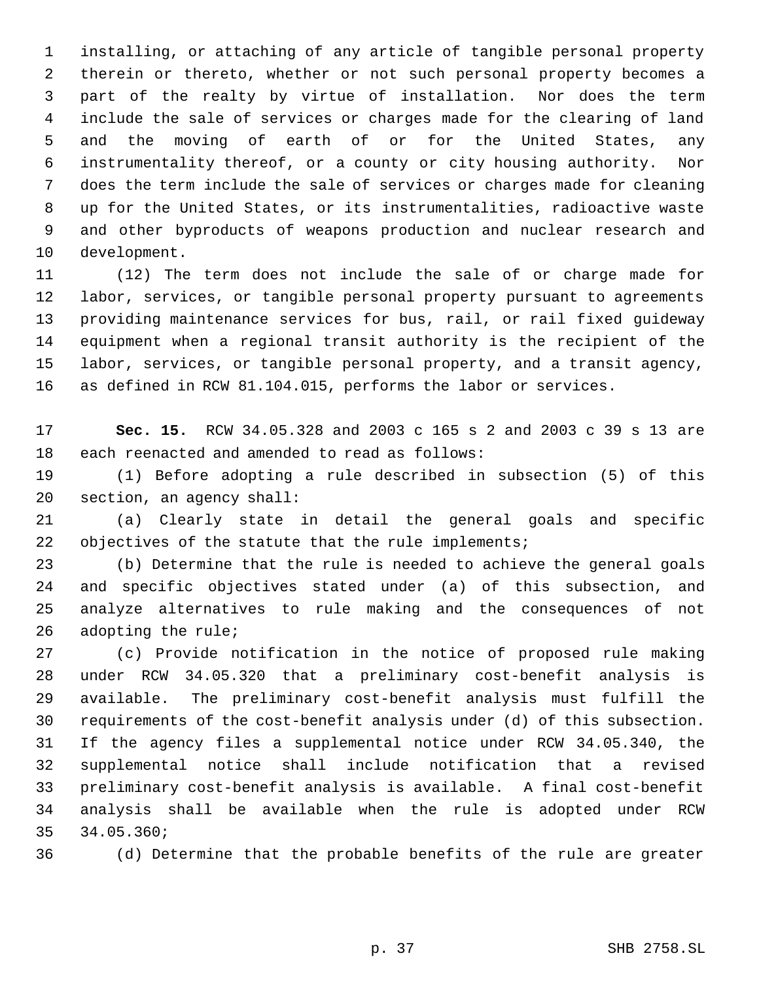installing, or attaching of any article of tangible personal property therein or thereto, whether or not such personal property becomes a part of the realty by virtue of installation. Nor does the term include the sale of services or charges made for the clearing of land and the moving of earth of or for the United States, any instrumentality thereof, or a county or city housing authority. Nor does the term include the sale of services or charges made for cleaning up for the United States, or its instrumentalities, radioactive waste and other byproducts of weapons production and nuclear research and development.

 (12) The term does not include the sale of or charge made for labor, services, or tangible personal property pursuant to agreements providing maintenance services for bus, rail, or rail fixed guideway equipment when a regional transit authority is the recipient of the labor, services, or tangible personal property, and a transit agency, as defined in RCW 81.104.015, performs the labor or services.

 **Sec. 15.** RCW 34.05.328 and 2003 c 165 s 2 and 2003 c 39 s 13 are each reenacted and amended to read as follows:

 (1) Before adopting a rule described in subsection (5) of this section, an agency shall:

 (a) Clearly state in detail the general goals and specific objectives of the statute that the rule implements;

 (b) Determine that the rule is needed to achieve the general goals and specific objectives stated under (a) of this subsection, and analyze alternatives to rule making and the consequences of not adopting the rule;

 (c) Provide notification in the notice of proposed rule making under RCW 34.05.320 that a preliminary cost-benefit analysis is available. The preliminary cost-benefit analysis must fulfill the requirements of the cost-benefit analysis under (d) of this subsection. If the agency files a supplemental notice under RCW 34.05.340, the supplemental notice shall include notification that a revised preliminary cost-benefit analysis is available. A final cost-benefit analysis shall be available when the rule is adopted under RCW 34.05.360;

(d) Determine that the probable benefits of the rule are greater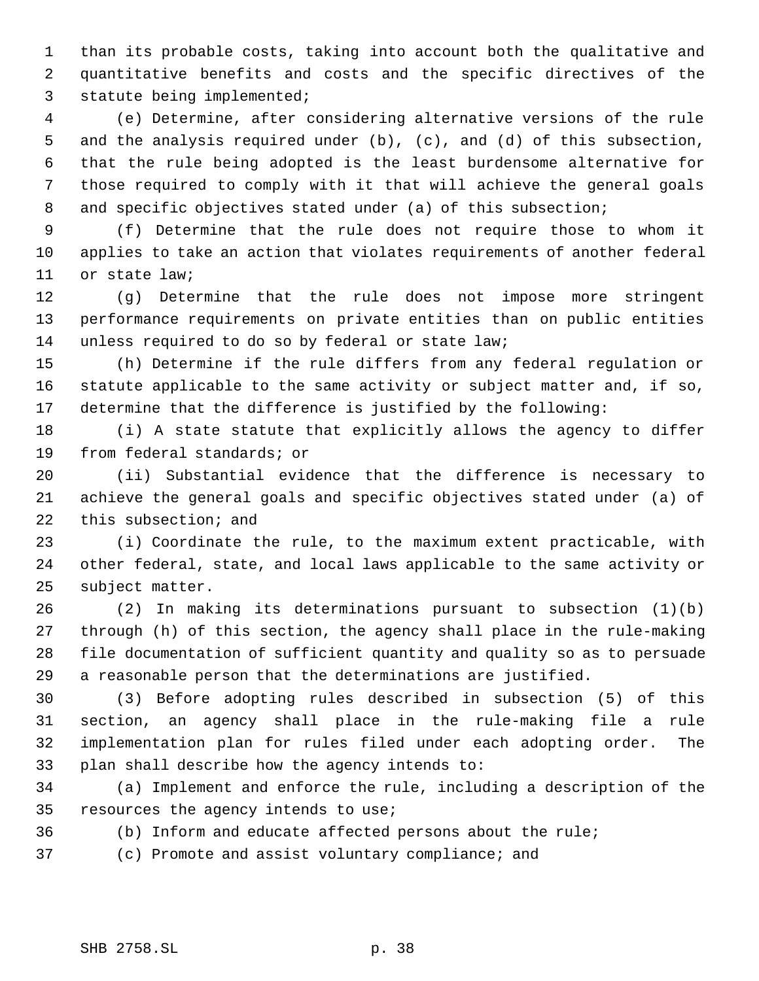than its probable costs, taking into account both the qualitative and quantitative benefits and costs and the specific directives of the statute being implemented;

 (e) Determine, after considering alternative versions of the rule and the analysis required under (b), (c), and (d) of this subsection, that the rule being adopted is the least burdensome alternative for those required to comply with it that will achieve the general goals 8 and specific objectives stated under (a) of this subsection;

 (f) Determine that the rule does not require those to whom it applies to take an action that violates requirements of another federal or state law;

 (g) Determine that the rule does not impose more stringent performance requirements on private entities than on public entities unless required to do so by federal or state law;

 (h) Determine if the rule differs from any federal regulation or statute applicable to the same activity or subject matter and, if so, determine that the difference is justified by the following:

 (i) A state statute that explicitly allows the agency to differ from federal standards; or

 (ii) Substantial evidence that the difference is necessary to achieve the general goals and specific objectives stated under (a) of this subsection; and

 (i) Coordinate the rule, to the maximum extent practicable, with other federal, state, and local laws applicable to the same activity or subject matter.

 (2) In making its determinations pursuant to subsection (1)(b) through (h) of this section, the agency shall place in the rule-making file documentation of sufficient quantity and quality so as to persuade a reasonable person that the determinations are justified.

 (3) Before adopting rules described in subsection (5) of this section, an agency shall place in the rule-making file a rule implementation plan for rules filed under each adopting order. The plan shall describe how the agency intends to:

 (a) Implement and enforce the rule, including a description of the resources the agency intends to use;

(b) Inform and educate affected persons about the rule;

(c) Promote and assist voluntary compliance; and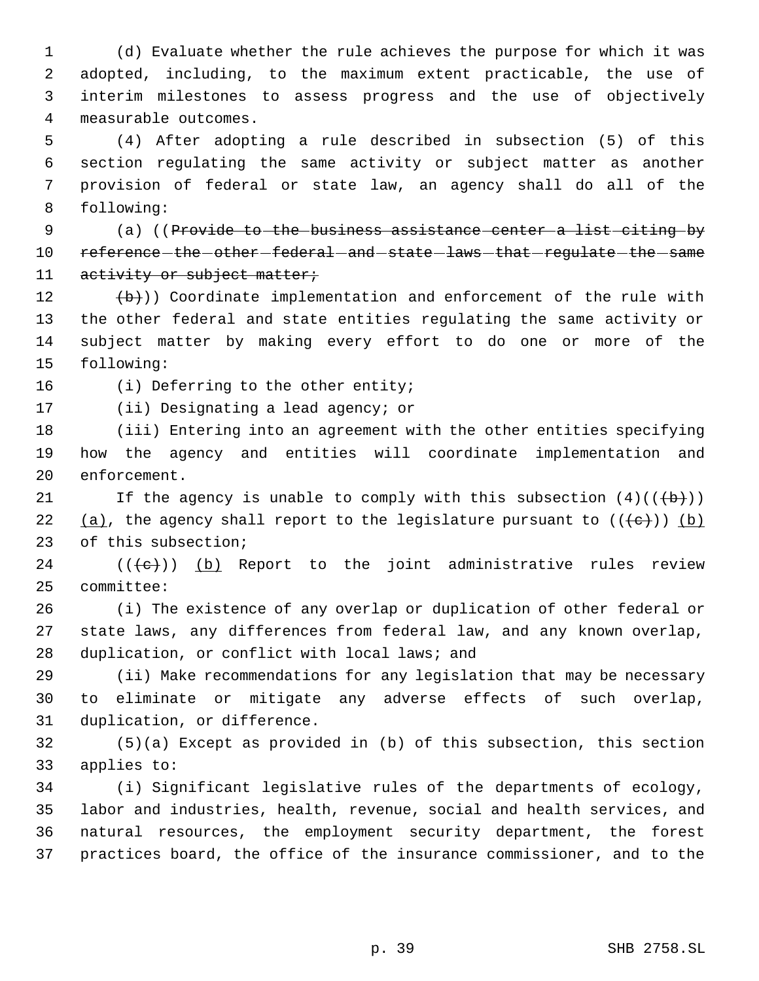(d) Evaluate whether the rule achieves the purpose for which it was adopted, including, to the maximum extent practicable, the use of interim milestones to assess progress and the use of objectively measurable outcomes.

 (4) After adopting a rule described in subsection (5) of this section regulating the same activity or subject matter as another provision of federal or state law, an agency shall do all of the following:

9 (a) ((Provide to the business assistance center a list citing by 10 reference - the - other - federal - and - state - laws - that - regulate - the - same 11 activity or subject matter;

 $(\forall b)$ ) Coordinate implementation and enforcement of the rule with the other federal and state entities regulating the same activity or subject matter by making every effort to do one or more of the following:

16 (i) Deferring to the other entity;

(ii) Designating a lead agency; or

 (iii) Entering into an agreement with the other entities specifying how the agency and entities will coordinate implementation and enforcement.

21 If the agency is unable to comply with this subsection  $(4)((\overline{b}))$ 22 (a), the agency shall report to the legislature pursuant to  $((+e+))$  (b) of this subsection;

24  $((\{e\})$  (b) Report to the joint administrative rules review committee:

 (i) The existence of any overlap or duplication of other federal or state laws, any differences from federal law, and any known overlap, duplication, or conflict with local laws; and

 (ii) Make recommendations for any legislation that may be necessary to eliminate or mitigate any adverse effects of such overlap, duplication, or difference.

 (5)(a) Except as provided in (b) of this subsection, this section applies to:

 (i) Significant legislative rules of the departments of ecology, labor and industries, health, revenue, social and health services, and natural resources, the employment security department, the forest practices board, the office of the insurance commissioner, and to the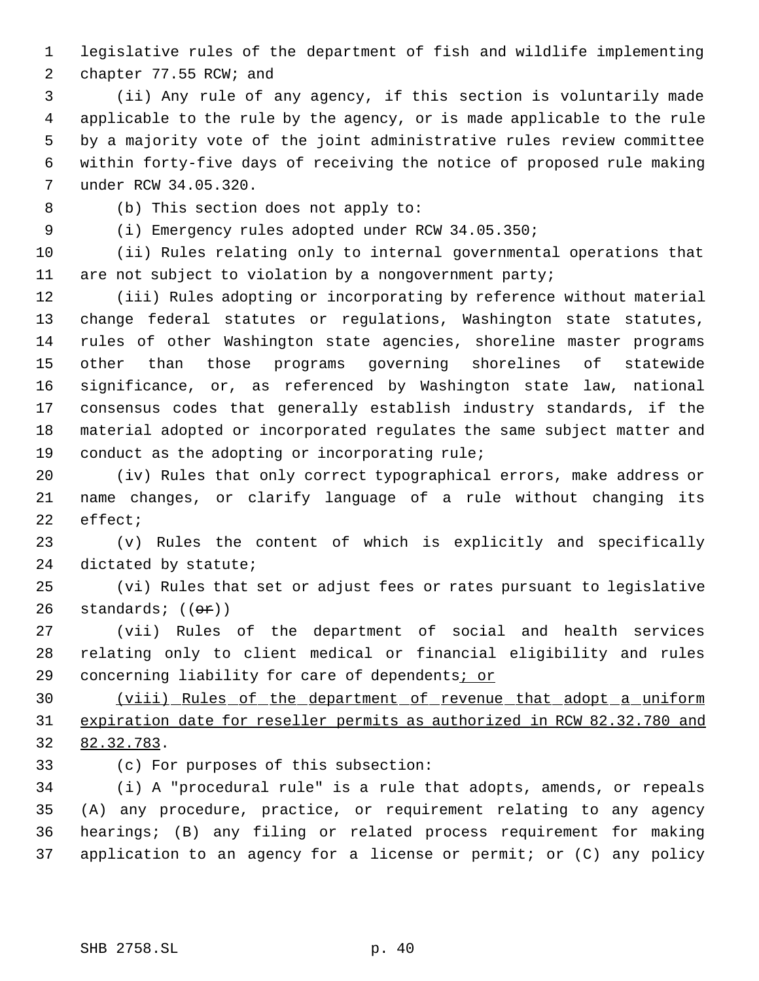legislative rules of the department of fish and wildlife implementing 2 chapter 77.55 RCW; and

 (ii) Any rule of any agency, if this section is voluntarily made applicable to the rule by the agency, or is made applicable to the rule by a majority vote of the joint administrative rules review committee within forty-five days of receiving the notice of proposed rule making under RCW 34.05.320.

(b) This section does not apply to:

(i) Emergency rules adopted under RCW 34.05.350;

 (ii) Rules relating only to internal governmental operations that are not subject to violation by a nongovernment party;

 (iii) Rules adopting or incorporating by reference without material change federal statutes or regulations, Washington state statutes, rules of other Washington state agencies, shoreline master programs other than those programs governing shorelines of statewide significance, or, as referenced by Washington state law, national consensus codes that generally establish industry standards, if the material adopted or incorporated regulates the same subject matter and conduct as the adopting or incorporating rule;

 (iv) Rules that only correct typographical errors, make address or name changes, or clarify language of a rule without changing its effect;

 (v) Rules the content of which is explicitly and specifically dictated by statute;

 (vi) Rules that set or adjust fees or rates pursuant to legislative 26 standards;  $((\theta \cdot \hat{r}))$ 

 (vii) Rules of the department of social and health services relating only to client medical or financial eligibility and rules concerning liability for care of dependents; or

 (viii) Rules of the department of revenue that adopt a uniform expiration date for reseller permits as authorized in RCW 82.32.780 and 82.32.783.

(c) For purposes of this subsection:

 (i) A "procedural rule" is a rule that adopts, amends, or repeals (A) any procedure, practice, or requirement relating to any agency hearings; (B) any filing or related process requirement for making application to an agency for a license or permit; or (C) any policy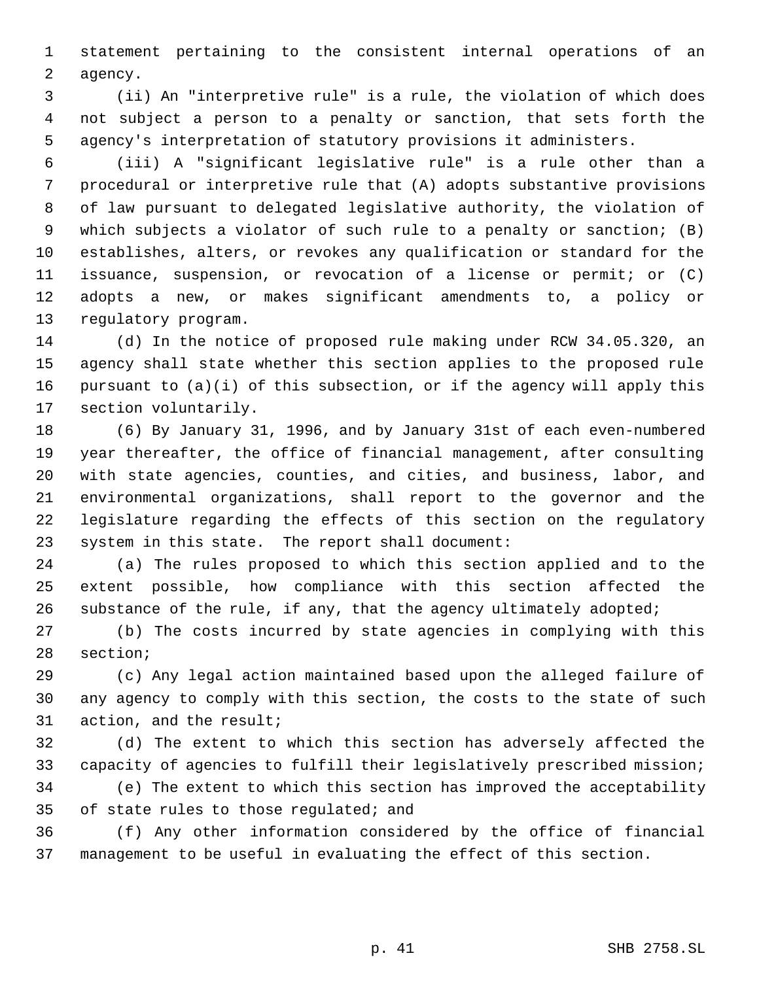statement pertaining to the consistent internal operations of an agency.

 (ii) An "interpretive rule" is a rule, the violation of which does not subject a person to a penalty or sanction, that sets forth the agency's interpretation of statutory provisions it administers.

 (iii) A "significant legislative rule" is a rule other than a procedural or interpretive rule that (A) adopts substantive provisions of law pursuant to delegated legislative authority, the violation of which subjects a violator of such rule to a penalty or sanction; (B) establishes, alters, or revokes any qualification or standard for the issuance, suspension, or revocation of a license or permit; or (C) adopts a new, or makes significant amendments to, a policy or regulatory program.

 (d) In the notice of proposed rule making under RCW 34.05.320, an agency shall state whether this section applies to the proposed rule pursuant to (a)(i) of this subsection, or if the agency will apply this section voluntarily.

 (6) By January 31, 1996, and by January 31st of each even-numbered year thereafter, the office of financial management, after consulting with state agencies, counties, and cities, and business, labor, and environmental organizations, shall report to the governor and the legislature regarding the effects of this section on the regulatory system in this state. The report shall document:

 (a) The rules proposed to which this section applied and to the extent possible, how compliance with this section affected the substance of the rule, if any, that the agency ultimately adopted;

 (b) The costs incurred by state agencies in complying with this section;

 (c) Any legal action maintained based upon the alleged failure of any agency to comply with this section, the costs to the state of such action, and the result;

 (d) The extent to which this section has adversely affected the capacity of agencies to fulfill their legislatively prescribed mission; (e) The extent to which this section has improved the acceptability of state rules to those regulated; and

 (f) Any other information considered by the office of financial management to be useful in evaluating the effect of this section.